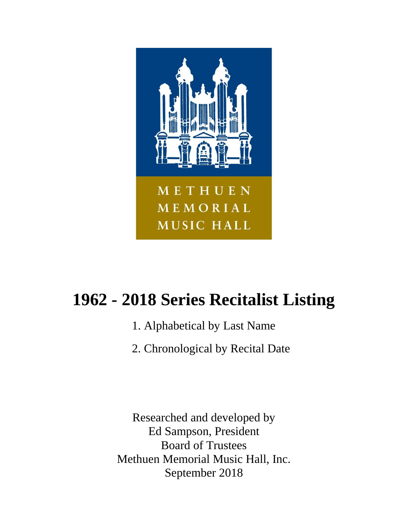

# **1962 - 2018 Series Recitalist Listing**

- 1. Alphabetical by Last Name
- 2. Chronological by Recital Date

Researched and developed by Ed Sampson, President Board of Trustees Methuen Memorial Music Hall, Inc. September 2018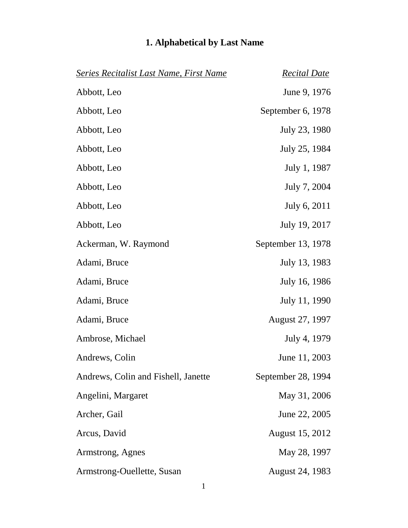| <b>Series Recitalist Last Name, First Name</b> | <b>Recital Date</b>    |
|------------------------------------------------|------------------------|
| Abbott, Leo                                    | June 9, 1976           |
| Abbott, Leo                                    | September 6, 1978      |
| Abbott, Leo                                    | July 23, 1980          |
| Abbott, Leo                                    | July 25, 1984          |
| Abbott, Leo                                    | July 1, 1987           |
| Abbott, Leo                                    | July 7, 2004           |
| Abbott, Leo                                    | July 6, 2011           |
| Abbott, Leo                                    | July 19, 2017          |
| Ackerman, W. Raymond                           | September 13, 1978     |
| Adami, Bruce                                   | July 13, 1983          |
| Adami, Bruce                                   | July 16, 1986          |
| Adami, Bruce                                   | July 11, 1990          |
| Adami, Bruce                                   | <b>August 27, 1997</b> |
| Ambrose, Michael                               | July 4, 1979           |
| Andrews, Colin                                 | June 11, 2003          |
| Andrews, Colin and Fishell, Janette            | September 28, 1994     |
| Angelini, Margaret                             | May 31, 2006           |
| Archer, Gail                                   | June 22, 2005          |
| Arcus, David                                   | August 15, 2012        |
| Armstrong, Agnes                               | May 28, 1997           |
| Armstrong-Ouellette, Susan                     | <b>August 24, 1983</b> |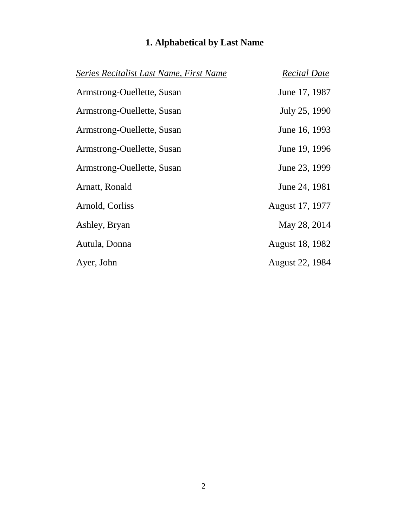| Series Recitalist Last Name, First Name | <b>Recital Date</b> |
|-----------------------------------------|---------------------|
| Armstrong-Ouellette, Susan              | June 17, 1987       |
| Armstrong-Ouellette, Susan              | July 25, 1990       |
| Armstrong-Ouellette, Susan              | June 16, 1993       |
| Armstrong-Ouellette, Susan              | June 19, 1996       |
| Armstrong-Ouellette, Susan              | June 23, 1999       |
| Arnatt, Ronald                          | June 24, 1981       |
| Arnold, Corliss                         | August 17, 1977     |
| Ashley, Bryan                           | May 28, 2014        |
| Autula, Donna                           | August 18, 1982     |
| Ayer, John                              | August 22, 1984     |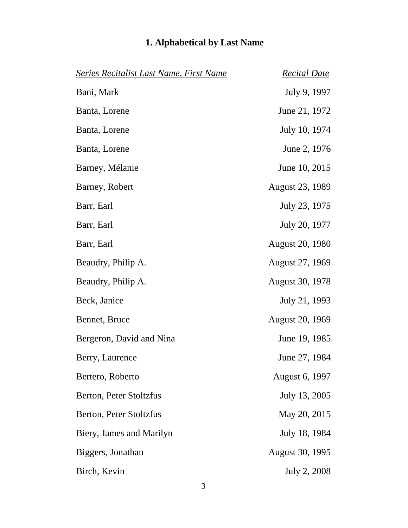| <b>Series Recitalist Last Name, First Name</b> | <b>Recital Date</b>    |
|------------------------------------------------|------------------------|
| Bani, Mark                                     | July 9, 1997           |
| Banta, Lorene                                  | June 21, 1972          |
| Banta, Lorene                                  | July 10, 1974          |
| Banta, Lorene                                  | June 2, 1976           |
| Barney, Mélanie                                | June 10, 2015          |
| Barney, Robert                                 | <b>August 23, 1989</b> |
| Barr, Earl                                     | July 23, 1975          |
| Barr, Earl                                     | July 20, 1977          |
| Barr, Earl                                     | <b>August 20, 1980</b> |
| Beaudry, Philip A.                             | August 27, 1969        |
| Beaudry, Philip A.                             | <b>August 30, 1978</b> |
| Beck, Janice                                   | July 21, 1993          |
| Bennet, Bruce                                  | <b>August 20, 1969</b> |
| Bergeron, David and Nina                       | June 19, 1985          |
| Berry, Laurence                                | June 27, 1984          |
| Bertero, Roberto                               | August 6, 1997         |
| Berton, Peter Stoltzfus                        | July 13, 2005          |
| Berton, Peter Stoltzfus                        | May 20, 2015           |
| Biery, James and Marilyn                       | July 18, 1984          |
| Biggers, Jonathan                              | <b>August 30, 1995</b> |
| Birch, Kevin                                   | July 2, 2008           |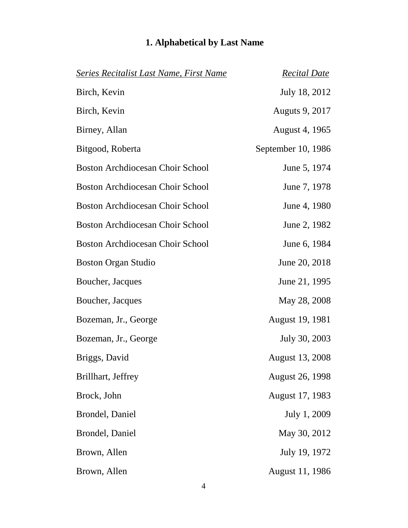| <b>Series Recitalist Last Name, First Name</b> | <b>Recital Date</b>    |
|------------------------------------------------|------------------------|
| Birch, Kevin                                   | July 18, 2012          |
| Birch, Kevin                                   | <b>Auguts 9, 2017</b>  |
| Birney, Allan                                  | August 4, 1965         |
| Bitgood, Roberta                               | September 10, 1986     |
| <b>Boston Archdiocesan Choir School</b>        | June 5, 1974           |
| <b>Boston Archdiocesan Choir School</b>        | June 7, 1978           |
| <b>Boston Archdiocesan Choir School</b>        | June 4, 1980           |
| Boston Archdiocesan Choir School               | June 2, 1982           |
| <b>Boston Archdiocesan Choir School</b>        | June 6, 1984           |
| <b>Boston Organ Studio</b>                     | June 20, 2018          |
| Boucher, Jacques                               | June 21, 1995          |
| Boucher, Jacques                               | May 28, 2008           |
| Bozeman, Jr., George                           | <b>August 19, 1981</b> |
| Bozeman, Jr., George                           | July 30, 2003          |
| Briggs, David                                  | <b>August 13, 2008</b> |
| Brillhart, Jeffrey                             | <b>August 26, 1998</b> |
| Brock, John                                    | August 17, 1983        |
| Brondel, Daniel                                | July 1, 2009           |
| Brondel, Daniel                                | May 30, 2012           |
| Brown, Allen                                   | July 19, 1972          |
| Brown, Allen                                   | August 11, 1986        |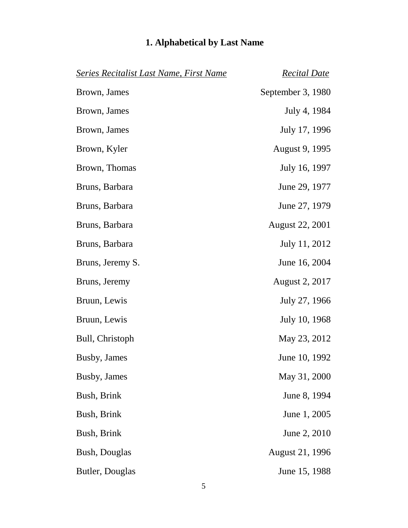| <b>Series Recitalist Last Name, First Name</b> | <b>Recital Date</b>    |
|------------------------------------------------|------------------------|
| Brown, James                                   | September 3, 1980      |
| Brown, James                                   | July 4, 1984           |
| Brown, James                                   | July 17, 1996          |
| Brown, Kyler                                   | August 9, 1995         |
| Brown, Thomas                                  | July 16, 1997          |
| Bruns, Barbara                                 | June 29, 1977          |
| Bruns, Barbara                                 | June 27, 1979          |
| Bruns, Barbara                                 | <b>August 22, 2001</b> |
| Bruns, Barbara                                 | July 11, 2012          |
| Bruns, Jeremy S.                               | June 16, 2004          |
| Bruns, Jeremy                                  | August 2, 2017         |
| Bruun, Lewis                                   | July 27, 1966          |
| Bruun, Lewis                                   | July 10, 1968          |
| Bull, Christoph                                | May 23, 2012           |
| Busby, James                                   | June 10, 1992          |
| Busby, James                                   | May 31, 2000           |
| Bush, Brink                                    | June 8, 1994           |
| Bush, Brink                                    | June 1, 2005           |
| Bush, Brink                                    | June 2, 2010           |
| Bush, Douglas                                  | <b>August 21, 1996</b> |
| Butler, Douglas                                | June 15, 1988          |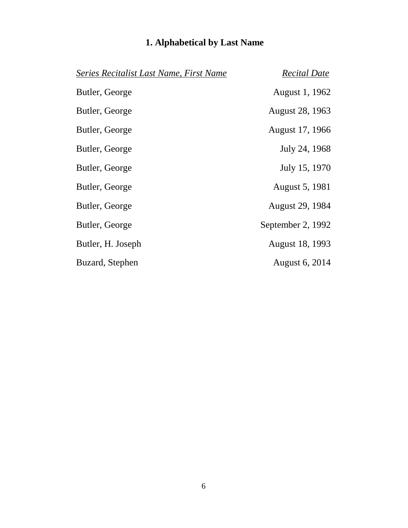| Series Recitalist Last Name, First Name | <b>Recital Date</b>    |
|-----------------------------------------|------------------------|
| Butler, George                          | August 1, 1962         |
| Butler, George                          | August 28, 1963        |
| Butler, George                          | August 17, 1966        |
| Butler, George                          | July 24, 1968          |
| Butler, George                          | July 15, 1970          |
| Butler, George                          | <b>August 5, 1981</b>  |
| Butler, George                          | <b>August 29, 1984</b> |
| Butler, George                          | September 2, 1992      |
| Butler, H. Joseph                       | August 18, 1993        |
| Buzard, Stephen                         | August 6, 2014         |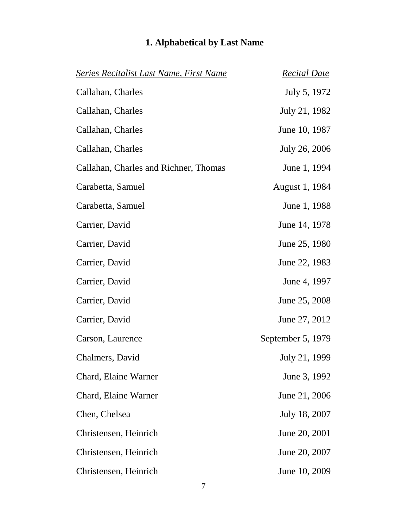| <b>Series Recitalist Last Name, First Name</b> | <b>Recital Date</b>   |
|------------------------------------------------|-----------------------|
| Callahan, Charles                              | July 5, 1972          |
| Callahan, Charles                              | July 21, 1982         |
| Callahan, Charles                              | June 10, 1987         |
| Callahan, Charles                              | July 26, 2006         |
| Callahan, Charles and Richner, Thomas          | June 1, 1994          |
| Carabetta, Samuel                              | <b>August 1, 1984</b> |
| Carabetta, Samuel                              | June 1, 1988          |
| Carrier, David                                 | June 14, 1978         |
| Carrier, David                                 | June 25, 1980         |
| Carrier, David                                 | June 22, 1983         |
| Carrier, David                                 | June 4, 1997          |
| Carrier, David                                 | June 25, 2008         |
| Carrier, David                                 | June 27, 2012         |
| Carson, Laurence                               | September 5, 1979     |
| Chalmers, David                                | July 21, 1999         |
| Chard, Elaine Warner                           | June 3, 1992          |
| Chard, Elaine Warner                           | June 21, 2006         |
| Chen, Chelsea                                  | July 18, 2007         |
| Christensen, Heinrich                          | June 20, 2001         |
| Christensen, Heinrich                          | June 20, 2007         |
| Christensen, Heinrich                          | June 10, 2009         |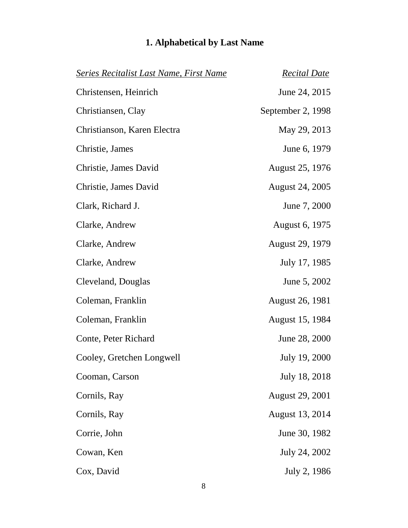| <b>Series Recitalist Last Name, First Name</b> | <b>Recital Date</b>    |
|------------------------------------------------|------------------------|
| Christensen, Heinrich                          | June 24, 2015          |
| Christiansen, Clay                             | September 2, 1998      |
| Christianson, Karen Electra                    | May 29, 2013           |
| Christie, James                                | June 6, 1979           |
| Christie, James David                          | August 25, 1976        |
| Christie, James David                          | <b>August 24, 2005</b> |
| Clark, Richard J.                              | June 7, 2000           |
| Clarke, Andrew                                 | August 6, 1975         |
| Clarke, Andrew                                 | <b>August 29, 1979</b> |
| Clarke, Andrew                                 | July 17, 1985          |
| Cleveland, Douglas                             | June 5, 2002           |
| Coleman, Franklin                              | <b>August 26, 1981</b> |
| Coleman, Franklin                              | August 15, 1984        |
| Conte, Peter Richard                           | June 28, 2000          |
| Cooley, Gretchen Longwell                      | July 19, 2000          |
| Cooman, Carson                                 | July 18, 2018          |
| Cornils, Ray                                   | <b>August 29, 2001</b> |
| Cornils, Ray                                   | <b>August 13, 2014</b> |
| Corrie, John                                   | June 30, 1982          |
| Cowan, Ken                                     | July 24, 2002          |
| Cox, David                                     | July 2, 1986           |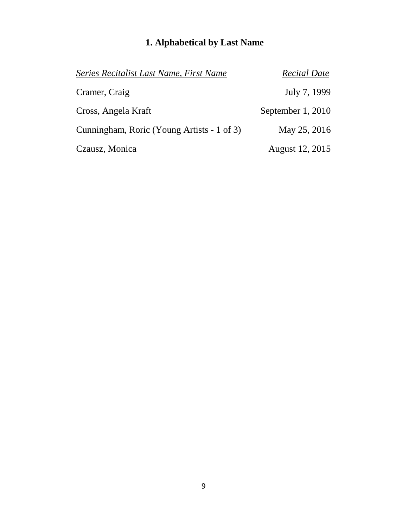| Series Recitalist Last Name, First Name    | <b>Recital Date</b> |
|--------------------------------------------|---------------------|
| Cramer, Craig                              | July 7, 1999        |
| Cross, Angela Kraft                        | September 1, 2010   |
| Cunningham, Roric (Young Artists - 1 of 3) | May 25, 2016        |
| Czausz, Monica                             | August 12, 2015     |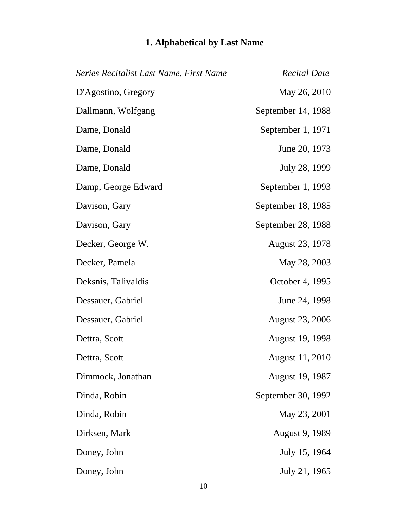| <b>Series Recitalist Last Name, First Name</b> | <b>Recital Date</b>    |
|------------------------------------------------|------------------------|
| D'Agostino, Gregory                            | May 26, 2010           |
| Dallmann, Wolfgang                             | September 14, 1988     |
| Dame, Donald                                   | September 1, 1971      |
| Dame, Donald                                   | June 20, 1973          |
| Dame, Donald                                   | July 28, 1999          |
| Damp, George Edward                            | September 1, 1993      |
| Davison, Gary                                  | September 18, 1985     |
| Davison, Gary                                  | September 28, 1988     |
| Decker, George W.                              | August 23, 1978        |
| Decker, Pamela                                 | May 28, 2003           |
| Deksnis, Talivaldis                            | October 4, 1995        |
| Dessauer, Gabriel                              | June 24, 1998          |
| Dessauer, Gabriel                              | <b>August 23, 2006</b> |
| Dettra, Scott                                  | <b>August 19, 1998</b> |
| Dettra, Scott                                  | <b>August 11, 2010</b> |
| Dimmock, Jonathan                              | <b>August 19, 1987</b> |
| Dinda, Robin                                   | September 30, 1992     |
| Dinda, Robin                                   | May 23, 2001           |
| Dirksen, Mark                                  | <b>August 9, 1989</b>  |
| Doney, John                                    | July 15, 1964          |
| Doney, John                                    | July 21, 1965          |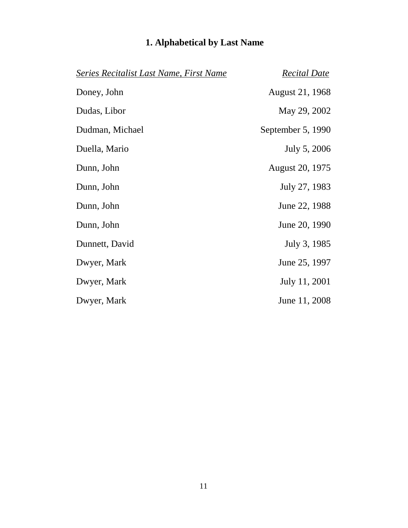| <b>Series Recitalist Last Name, First Name</b> | <b>Recital Date</b> |
|------------------------------------------------|---------------------|
| Doney, John                                    | August 21, 1968     |
| Dudas, Libor                                   | May 29, 2002        |
| Dudman, Michael                                | September 5, 1990   |
| Duella, Mario                                  | July 5, 2006        |
| Dunn, John                                     | August 20, 1975     |
| Dunn, John                                     | July 27, 1983       |
| Dunn, John                                     | June 22, 1988       |
| Dunn, John                                     | June 20, 1990       |
| Dunnett, David                                 | July 3, 1985        |
| Dwyer, Mark                                    | June 25, 1997       |
| Dwyer, Mark                                    | July 11, 2001       |
| Dwyer, Mark                                    | June 11, 2008       |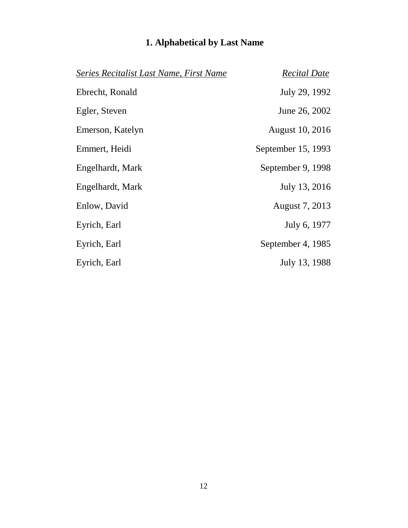| Series Recitalist Last Name, First Name | <b>Recital Date</b> |
|-----------------------------------------|---------------------|
| Ebrecht, Ronald                         | July 29, 1992       |
| Egler, Steven                           | June 26, 2002       |
| Emerson, Katelyn                        | August 10, 2016     |
| Emmert, Heidi                           | September 15, 1993  |
| Engelhardt, Mark                        | September 9, 1998   |
| Engelhardt, Mark                        | July 13, 2016       |
| Enlow, David                            | August 7, 2013      |
| Eyrich, Earl                            | July 6, 1977        |
| Eyrich, Earl                            | September 4, 1985   |
| Eyrich, Earl                            | July 13, 1988       |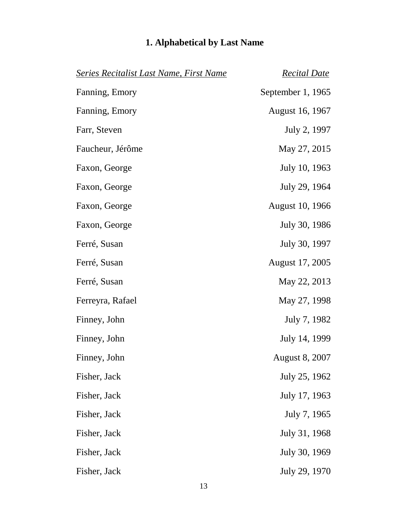| Series Recitalist Last Name, First Name | <b>Recital Date</b>   |
|-----------------------------------------|-----------------------|
| Fanning, Emory                          | September 1, 1965     |
| Fanning, Emory                          | August 16, 1967       |
| Farr, Steven                            | July 2, 1997          |
| Faucheur, Jérôme                        | May 27, 2015          |
| Faxon, George                           | July 10, 1963         |
| Faxon, George                           | July 29, 1964         |
| Faxon, George                           | August 10, 1966       |
| Faxon, George                           | July 30, 1986         |
| Ferré, Susan                            | July 30, 1997         |
| Ferré, Susan                            | August 17, 2005       |
| Ferré, Susan                            | May 22, 2013          |
| Ferreyra, Rafael                        | May 27, 1998          |
| Finney, John                            | July 7, 1982          |
| Finney, John                            | July 14, 1999         |
| Finney, John                            | <b>August 8, 2007</b> |
| Fisher, Jack                            | July 25, 1962         |
| Fisher, Jack                            | July 17, 1963         |
| Fisher, Jack                            | July 7, 1965          |
| Fisher, Jack                            | July 31, 1968         |
| Fisher, Jack                            | July 30, 1969         |
| Fisher, Jack                            | July 29, 1970         |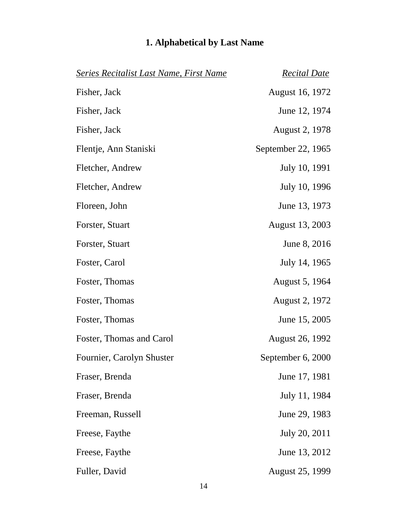| <b>Series Recitalist Last Name, First Name</b> | <b>Recital Date</b>    |
|------------------------------------------------|------------------------|
| Fisher, Jack                                   | <b>August 16, 1972</b> |
| Fisher, Jack                                   | June 12, 1974          |
| Fisher, Jack                                   | August 2, 1978         |
| Flentje, Ann Staniski                          | September 22, 1965     |
| Fletcher, Andrew                               | July 10, 1991          |
| Fletcher, Andrew                               | July 10, 1996          |
| Floreen, John                                  | June 13, 1973          |
| Forster, Stuart                                | <b>August 13, 2003</b> |
| Forster, Stuart                                | June 8, 2016           |
| Foster, Carol                                  | July 14, 1965          |
| Foster, Thomas                                 | August 5, 1964         |
| Foster, Thomas                                 | August 2, 1972         |
| Foster, Thomas                                 | June 15, 2005          |
| Foster, Thomas and Carol                       | <b>August 26, 1992</b> |
| Fournier, Carolyn Shuster                      | September 6, 2000      |
| Fraser, Brenda                                 | June 17, 1981          |
| Fraser, Brenda                                 | July 11, 1984          |
| Freeman, Russell                               | June 29, 1983          |
| Freese, Faythe                                 | July 20, 2011          |
| Freese, Faythe                                 | June 13, 2012          |
| Fuller, David                                  | <b>August 25, 1999</b> |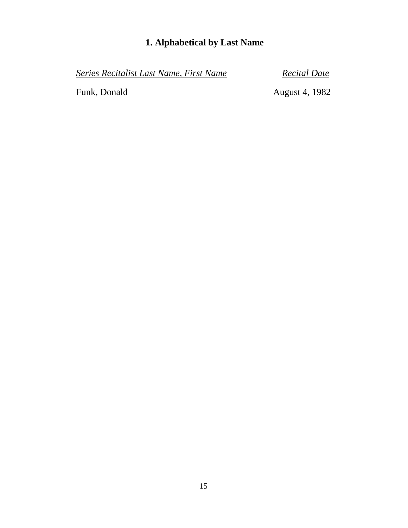*Series Recitalist Last Name, First Name Recital Date*

Funk, Donald August 4, 1982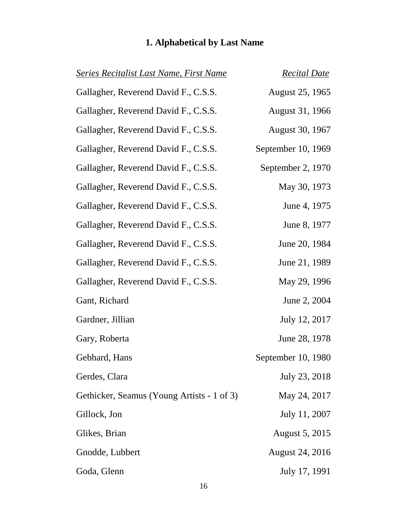| <b>Series Recitalist Last Name, First Name</b> | <b>Recital Date</b>    |
|------------------------------------------------|------------------------|
| Gallagher, Reverend David F., C.S.S.           | August 25, 1965        |
| Gallagher, Reverend David F., C.S.S.           | August 31, 1966        |
| Gallagher, Reverend David F., C.S.S.           | August 30, 1967        |
| Gallagher, Reverend David F., C.S.S.           | September 10, 1969     |
| Gallagher, Reverend David F., C.S.S.           | September 2, 1970      |
| Gallagher, Reverend David F., C.S.S.           | May 30, 1973           |
| Gallagher, Reverend David F., C.S.S.           | June 4, 1975           |
| Gallagher, Reverend David F., C.S.S.           | June 8, 1977           |
| Gallagher, Reverend David F., C.S.S.           | June 20, 1984          |
| Gallagher, Reverend David F., C.S.S.           | June 21, 1989          |
| Gallagher, Reverend David F., C.S.S.           | May 29, 1996           |
| Gant, Richard                                  | June 2, 2004           |
| Gardner, Jillian                               | July 12, 2017          |
| Gary, Roberta                                  | June 28, 1978          |
| Gebhard, Hans                                  | September 10, 1980     |
| Gerdes, Clara                                  | July 23, 2018          |
| Gethicker, Seamus (Young Artists - 1 of 3)     | May 24, 2017           |
| Gillock, Jon                                   | July 11, 2007          |
| Glikes, Brian                                  | August 5, 2015         |
| Gnodde, Lubbert                                | <b>August 24, 2016</b> |
| Goda, Glenn                                    | July 17, 1991          |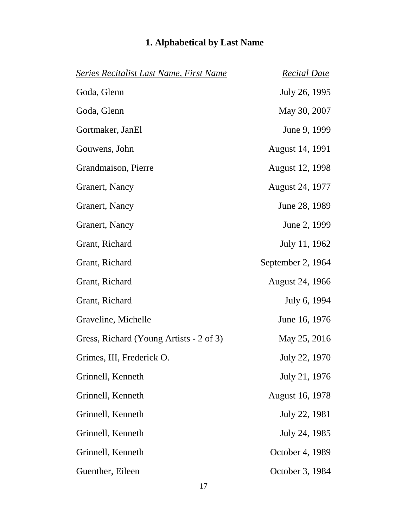| <b>Series Recitalist Last Name, First Name</b> | <b>Recital Date</b>    |
|------------------------------------------------|------------------------|
| Goda, Glenn                                    | July 26, 1995          |
| Goda, Glenn                                    | May 30, 2007           |
| Gortmaker, JanEl                               | June 9, 1999           |
| Gouwens, John                                  | August 14, 1991        |
| Grandmaison, Pierre                            | August 12, 1998        |
| Granert, Nancy                                 | August 24, 1977        |
| Granert, Nancy                                 | June 28, 1989          |
| Granert, Nancy                                 | June 2, 1999           |
| Grant, Richard                                 | July 11, 1962          |
| Grant, Richard                                 | September 2, 1964      |
| Grant, Richard                                 | <b>August 24, 1966</b> |
| Grant, Richard                                 | July 6, 1994           |
| Graveline, Michelle                            | June 16, 1976          |
| Gress, Richard (Young Artists - 2 of 3)        | May 25, 2016           |
| Grimes, III, Frederick O.                      | July 22, 1970          |
| Grinnell, Kenneth                              | July 21, 1976          |
| Grinnell, Kenneth                              | <b>August 16, 1978</b> |
| Grinnell, Kenneth                              | July 22, 1981          |
| Grinnell, Kenneth                              | July 24, 1985          |
| Grinnell, Kenneth                              | October 4, 1989        |
| Guenther, Eileen                               | October 3, 1984        |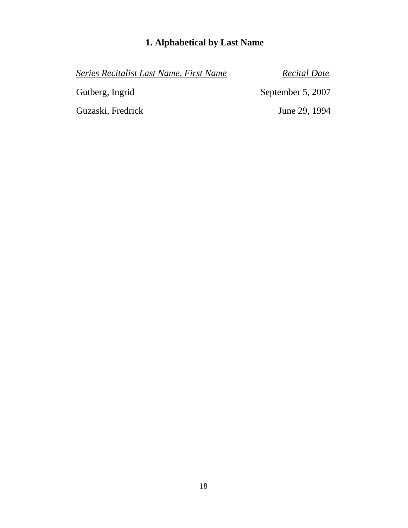*Series Recitalist Last Name, First Name Recital Date* Gutberg, Ingrid September 5, 2007 Guzaski, Fredrick June 29, 1994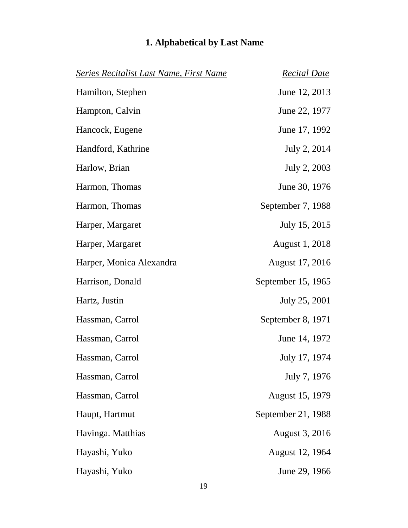| <b>Series Recitalist Last Name, First Name</b> | <b>Recital Date</b> |
|------------------------------------------------|---------------------|
| Hamilton, Stephen                              | June 12, 2013       |
| Hampton, Calvin                                | June 22, 1977       |
| Hancock, Eugene                                | June 17, 1992       |
| Handford, Kathrine                             | July 2, 2014        |
| Harlow, Brian                                  | July 2, 2003        |
| Harmon, Thomas                                 | June 30, 1976       |
| Harmon, Thomas                                 | September 7, 1988   |
| Harper, Margaret                               | July 15, 2015       |
| Harper, Margaret                               | August 1, 2018      |
| Harper, Monica Alexandra                       | August 17, 2016     |
| Harrison, Donald                               | September 15, 1965  |
| Hartz, Justin                                  | July 25, 2001       |
| Hassman, Carrol                                | September 8, 1971   |
| Hassman, Carrol                                | June 14, 1972       |
| Hassman, Carrol                                | July 17, 1974       |
| Hassman, Carrol                                | July 7, 1976        |
| Hassman, Carrol                                | August 15, 1979     |
| Haupt, Hartmut                                 | September 21, 1988  |
| Havinga. Matthias                              | August 3, 2016      |
| Hayashi, Yuko                                  | August 12, 1964     |
| Hayashi, Yuko                                  | June 29, 1966       |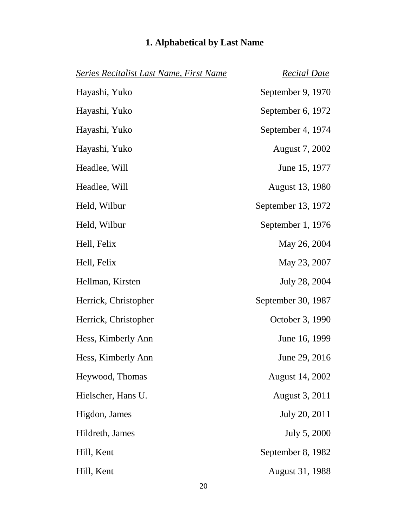| Series Recitalist Last Name, First Name | <b>Recital Date</b>    |
|-----------------------------------------|------------------------|
| Hayashi, Yuko                           | September 9, 1970      |
| Hayashi, Yuko                           | September 6, 1972      |
| Hayashi, Yuko                           | September 4, 1974      |
| Hayashi, Yuko                           | August 7, 2002         |
| Headlee, Will                           | June 15, 1977          |
| Headlee, Will                           | August 13, 1980        |
| Held, Wilbur                            | September 13, 1972     |
| Held, Wilbur                            | September 1, 1976      |
| Hell, Felix                             | May 26, 2004           |
| Hell, Felix                             | May 23, 2007           |
| Hellman, Kirsten                        | July 28, 2004          |
| Herrick, Christopher                    | September 30, 1987     |
| Herrick, Christopher                    | October 3, 1990        |
| Hess, Kimberly Ann                      | June 16, 1999          |
| Hess, Kimberly Ann                      | June 29, 2016          |
| Heywood, Thomas                         | <b>August 14, 2002</b> |
| Hielscher, Hans U.                      | August 3, 2011         |
| Higdon, James                           | July 20, 2011          |
| Hildreth, James                         | July 5, 2000           |
| Hill, Kent                              | September 8, 1982      |
| Hill, Kent                              | August 31, 1988        |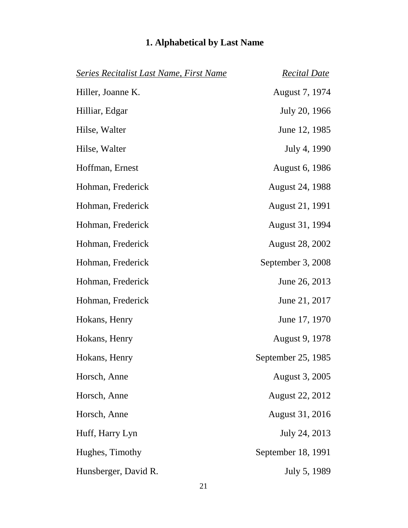| <b>Series Recitalist Last Name, First Name</b> | <u>Recital Date</u>    |
|------------------------------------------------|------------------------|
| Hiller, Joanne K.                              | August 7, 1974         |
| Hilliar, Edgar                                 | July 20, 1966          |
| Hilse, Walter                                  | June 12, 1985          |
| Hilse, Walter                                  | July 4, 1990           |
| Hoffman, Ernest                                | <b>August 6, 1986</b>  |
| Hohman, Frederick                              | <b>August 24, 1988</b> |
| Hohman, Frederick                              | August 21, 1991        |
| Hohman, Frederick                              | August 31, 1994        |
| Hohman, Frederick                              | <b>August 28, 2002</b> |
| Hohman, Frederick                              | September 3, 2008      |
| Hohman, Frederick                              | June 26, 2013          |
| Hohman, Frederick                              | June 21, 2017          |
| Hokans, Henry                                  | June 17, 1970          |
| Hokans, Henry                                  | August 9, 1978         |
| Hokans, Henry                                  | September 25, 1985     |
| Horsch, Anne                                   | August 3, 2005         |
| Horsch, Anne                                   | <b>August 22, 2012</b> |
| Horsch, Anne                                   | <b>August 31, 2016</b> |
| Huff, Harry Lyn                                | July 24, 2013          |
| Hughes, Timothy                                | September 18, 1991     |
| Hunsberger, David R.                           | July 5, 1989           |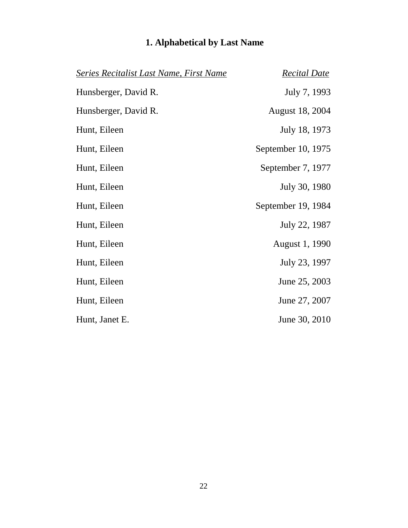| <b>Series Recitalist Last Name, First Name</b> | <b>Recital Date</b>    |
|------------------------------------------------|------------------------|
| Hunsberger, David R.                           | July 7, 1993           |
| Hunsberger, David R.                           | <b>August 18, 2004</b> |
| Hunt, Eileen                                   | July 18, 1973          |
| Hunt, Eileen                                   | September 10, 1975     |
| Hunt, Eileen                                   | September 7, 1977      |
| Hunt, Eileen                                   | July 30, 1980          |
| Hunt, Eileen                                   | September 19, 1984     |
| Hunt, Eileen                                   | July 22, 1987          |
| Hunt, Eileen                                   | August 1, 1990         |
| Hunt, Eileen                                   | July 23, 1997          |
| Hunt, Eileen                                   | June 25, 2003          |
| Hunt, Eileen                                   | June 27, 2007          |
| Hunt, Janet E.                                 | June 30, 2010          |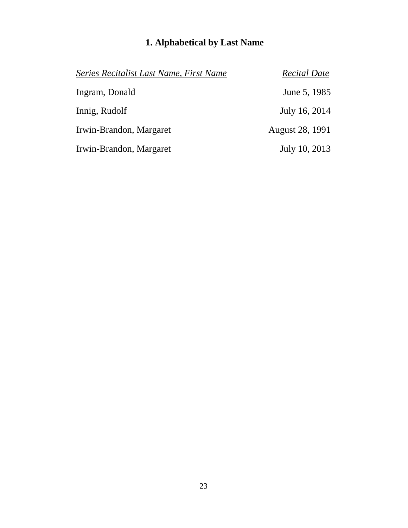| Series Recitalist Last Name, First Name | <b>Recital Date</b> |
|-----------------------------------------|---------------------|
| Ingram, Donald                          | June 5, 1985        |
| Innig, Rudolf                           | July 16, 2014       |
| Irwin-Brandon, Margaret                 | August 28, 1991     |
| Irwin-Brandon, Margaret                 | July 10, 2013       |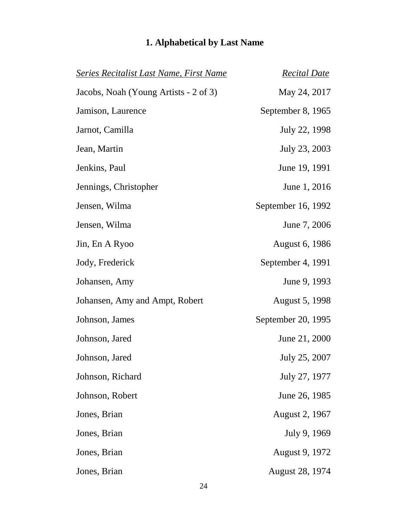| <b>Series Recitalist Last Name, First Name</b> | <b>Recital Date</b>    |
|------------------------------------------------|------------------------|
| Jacobs, Noah (Young Artists - 2 of 3)          | May 24, 2017           |
| Jamison, Laurence                              | September 8, 1965      |
| Jarnot, Camilla                                | July 22, 1998          |
| Jean, Martin                                   | July 23, 2003          |
| Jenkins, Paul                                  | June 19, 1991          |
| Jennings, Christopher                          | June 1, 2016           |
| Jensen, Wilma                                  | September 16, 1992     |
| Jensen, Wilma                                  | June 7, 2006           |
| Jin, En A Ryoo                                 | August 6, 1986         |
| Jody, Frederick                                | September 4, 1991      |
| Johansen, Amy                                  | June 9, 1993           |
| Johansen, Amy and Ampt, Robert                 | August 5, 1998         |
| Johnson, James                                 | September 20, 1995     |
| Johnson, Jared                                 | June 21, 2000          |
| Johnson, Jared                                 | July 25, 2007          |
| Johnson, Richard                               | July 27, 1977          |
| Johnson, Robert                                | June 26, 1985          |
| Jones, Brian                                   | August 2, 1967         |
| Jones, Brian                                   | July 9, 1969           |
| Jones, Brian                                   | August 9, 1972         |
| Jones, Brian                                   | <b>August 28, 1974</b> |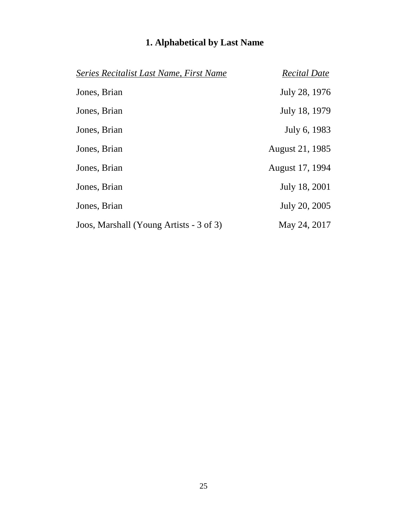| Series Recitalist Last Name, First Name | <b>Recital Date</b> |
|-----------------------------------------|---------------------|
| Jones, Brian                            | July 28, 1976       |
| Jones, Brian                            | July 18, 1979       |
| Jones, Brian                            | July 6, 1983        |
| Jones, Brian                            | August 21, 1985     |
| Jones, Brian                            | August 17, 1994     |
| Jones, Brian                            | July 18, 2001       |
| Jones, Brian                            | July 20, 2005       |
| Joos, Marshall (Young Artists - 3 of 3) | May 24, 2017        |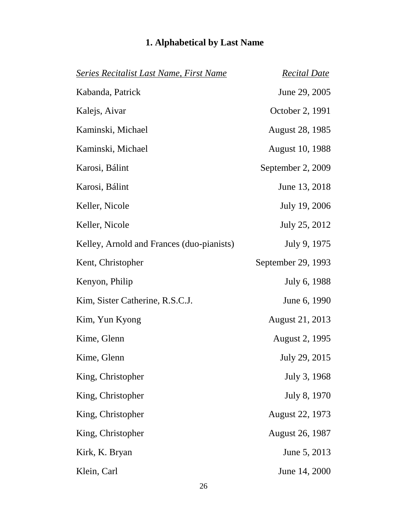## *Series Recitalist Last Name, First Name Recital Date* Kabanda, Patrick June 29, 2005 Kalejs, Aivar October 2, 1991 Kaminski, Michael August 28, 1985 Kaminski, Michael August 10, 1988 Karosi, Bálint September 2, 2009 Karosi, Bálint June 13, 2018 Keller, Nicole July 19, 2006 Keller, Nicole July 25, 2012 Kelley, Arnold and Frances (duo-pianists) July 9, 1975 Kent, Christopher September 29, 1993 Kenyon, Philip July 6, 1988 Kim, Sister Catherine, R.S.C.J. June 6, 1990 Kim, Yun Kyong August 21, 2013 Kime, Glenn August 2, 1995 Kime, Glenn July 29, 2015 King, Christopher July 3, 1968 King, Christopher July 8, 1970 King, Christopher August 22, 1973 King, Christopher August 26, 1987 Kirk, K. Bryan June 5, 2013 Klein, Carl June 14, 2000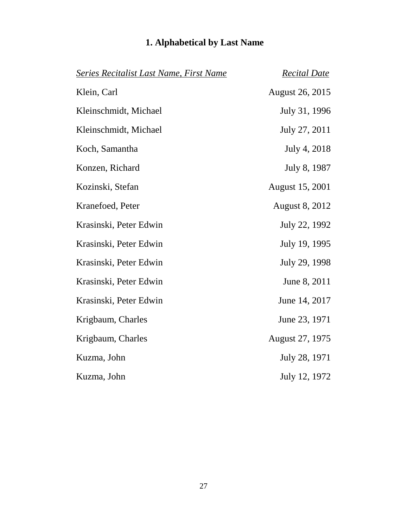| Series Recitalist Last Name, First Name | <b>Recital Date</b>    |
|-----------------------------------------|------------------------|
| Klein, Carl                             | <b>August 26, 2015</b> |
| Kleinschmidt, Michael                   | July 31, 1996          |
| Kleinschmidt, Michael                   | July 27, 2011          |
| Koch, Samantha                          | July 4, 2018           |
| Konzen, Richard                         | July 8, 1987           |
| Kozinski, Stefan                        | August 15, 2001        |
| Kranefoed, Peter                        | <b>August 8, 2012</b>  |
| Krasinski, Peter Edwin                  | July 22, 1992          |
| Krasinski, Peter Edwin                  | July 19, 1995          |
| Krasinski, Peter Edwin                  | July 29, 1998          |
| Krasinski, Peter Edwin                  | June 8, 2011           |
| Krasinski, Peter Edwin                  | June 14, 2017          |
| Krigbaum, Charles                       | June 23, 1971          |
| Krigbaum, Charles                       | August 27, 1975        |
| Kuzma, John                             | July 28, 1971          |
| Kuzma, John                             | July 12, 1972          |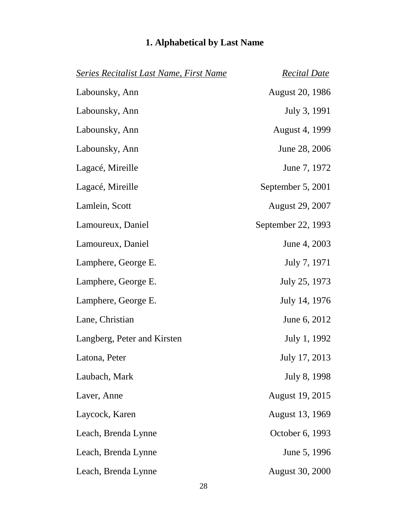| <b>Series Recitalist Last Name, First Name</b> | <b>Recital Date</b>    |
|------------------------------------------------|------------------------|
| Labounsky, Ann                                 | <b>August 20, 1986</b> |
| Labounsky, Ann                                 | July 3, 1991           |
| Labounsky, Ann                                 | <b>August 4, 1999</b>  |
| Labounsky, Ann                                 | June 28, 2006          |
| Lagacé, Mireille                               | June 7, 1972           |
| Lagacé, Mireille                               | September 5, 2001      |
| Lamlein, Scott                                 | <b>August 29, 2007</b> |
| Lamoureux, Daniel                              | September 22, 1993     |
| Lamoureux, Daniel                              | June 4, 2003           |
| Lamphere, George E.                            | July 7, 1971           |
| Lamphere, George E.                            | July 25, 1973          |
| Lamphere, George E.                            | July 14, 1976          |
| Lane, Christian                                | June 6, 2012           |
| Langberg, Peter and Kirsten                    | July 1, 1992           |
| Latona, Peter                                  | July 17, 2013          |
| Laubach, Mark                                  | July 8, 1998           |
| Laver, Anne                                    | <b>August 19, 2015</b> |
| Laycock, Karen                                 | <b>August 13, 1969</b> |
| Leach, Brenda Lynne                            | October 6, 1993        |
| Leach, Brenda Lynne                            | June 5, 1996           |
| Leach, Brenda Lynne                            | <b>August 30, 2000</b> |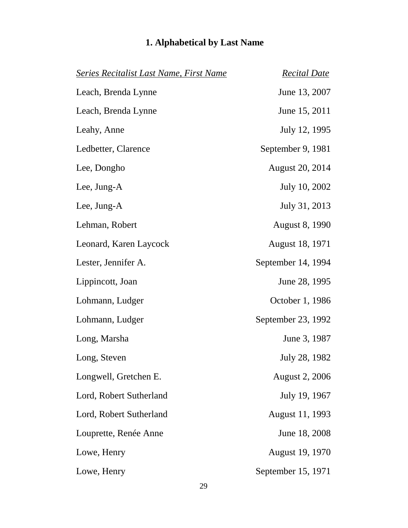| <b>Series Recitalist Last Name, First Name</b> | <b>Recital Date</b>    |
|------------------------------------------------|------------------------|
| Leach, Brenda Lynne                            | June 13, 2007          |
| Leach, Brenda Lynne                            | June 15, 2011          |
| Leahy, Anne                                    | July 12, 1995          |
| Ledbetter, Clarence                            | September 9, 1981      |
| Lee, Dongho                                    | <b>August 20, 2014</b> |
| Lee, Jung-A                                    | July 10, 2002          |
| Lee, Jung-A                                    | July 31, 2013          |
| Lehman, Robert                                 | <b>August 8, 1990</b>  |
| Leonard, Karen Laycock                         | August 18, 1971        |
| Lester, Jennifer A.                            | September 14, 1994     |
| Lippincott, Joan                               | June 28, 1995          |
| Lohmann, Ludger                                | October 1, 1986        |
| Lohmann, Ludger                                | September 23, 1992     |
| Long, Marsha                                   | June 3, 1987           |
| Long, Steven                                   | July 28, 1982          |
| Longwell, Gretchen E.                          | <b>August 2, 2006</b>  |
| Lord, Robert Sutherland                        | July 19, 1967          |
| Lord, Robert Sutherland                        | August 11, 1993        |
| Louprette, Renée Anne                          | June 18, 2008          |
| Lowe, Henry                                    | August 19, 1970        |
| Lowe, Henry                                    | September 15, 1971     |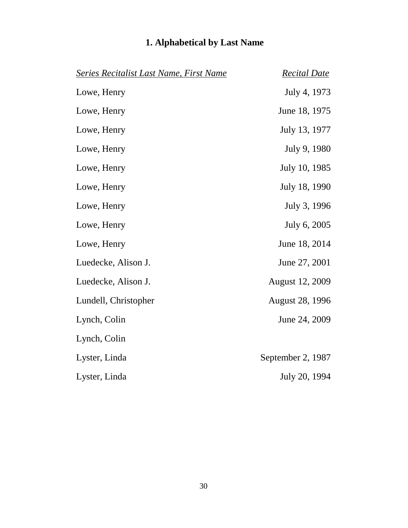| <b>Series Recitalist Last Name, First Name</b> | <b>Recital Date</b>    |
|------------------------------------------------|------------------------|
| Lowe, Henry                                    | July 4, 1973           |
| Lowe, Henry                                    | June 18, 1975          |
| Lowe, Henry                                    | July 13, 1977          |
| Lowe, Henry                                    | July 9, 1980           |
| Lowe, Henry                                    | July 10, 1985          |
| Lowe, Henry                                    | July 18, 1990          |
| Lowe, Henry                                    | July 3, 1996           |
| Lowe, Henry                                    | July 6, 2005           |
| Lowe, Henry                                    | June 18, 2014          |
| Luedecke, Alison J.                            | June 27, 2001          |
| Luedecke, Alison J.                            | <b>August 12, 2009</b> |
| Lundell, Christopher                           | <b>August 28, 1996</b> |
| Lynch, Colin                                   | June 24, 2009          |
| Lynch, Colin                                   |                        |
| Lyster, Linda                                  | September 2, 1987      |
| Lyster, Linda                                  | July 20, 1994          |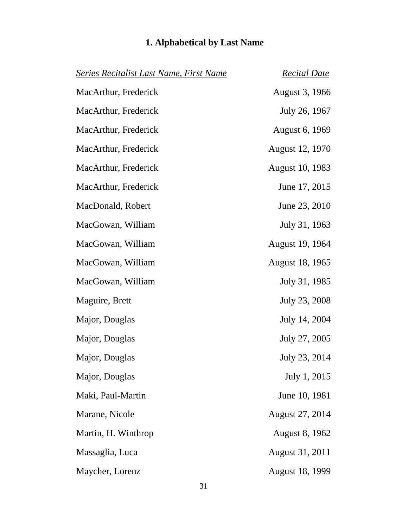| <b>Series Recitalist Last Name, First Name</b> | <b>Recital Date</b>    |
|------------------------------------------------|------------------------|
| MacArthur, Frederick                           | August 3, 1966         |
| MacArthur, Frederick                           | July 26, 1967          |
| MacArthur, Frederick                           | August 6, 1969         |
| MacArthur, Frederick                           | August 12, 1970        |
| MacArthur, Frederick                           | <b>August 10, 1983</b> |
| MacArthur, Frederick                           | June 17, 2015          |
| MacDonald, Robert                              | June 23, 2010          |
| MacGowan, William                              | July 31, 1963          |
| MacGowan, William                              | August 19, 1964        |
| MacGowan, William                              | August 18, 1965        |
| MacGowan, William                              | July 31, 1985          |
| Maguire, Brett                                 | July 23, 2008          |
| Major, Douglas                                 | July 14, 2004          |
| Major, Douglas                                 | July 27, 2005          |
| Major, Douglas                                 | July 23, 2014          |
| Major, Douglas                                 | July 1, 2015           |
| Maki, Paul-Martin                              | June 10, 1981          |
| Marane, Nicole                                 | <b>August 27, 2014</b> |
| Martin, H. Winthrop                            | <b>August 8, 1962</b>  |
| Massaglia, Luca                                | August 31, 2011        |
| Maycher, Lorenz                                | <b>August 18, 1999</b> |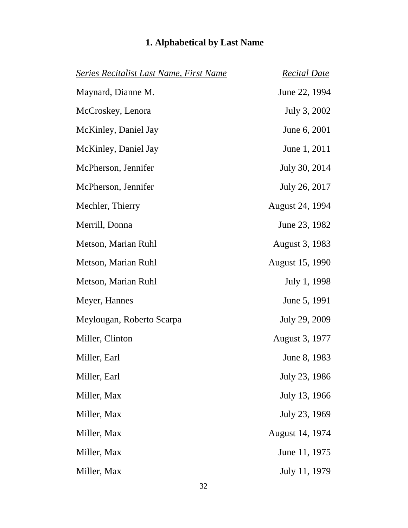| Series Recitalist Last Name, First Name | <b>Recital Date</b> |
|-----------------------------------------|---------------------|
| Maynard, Dianne M.                      | June 22, 1994       |
| McCroskey, Lenora                       | July 3, 2002        |
| McKinley, Daniel Jay                    | June 6, 2001        |
| McKinley, Daniel Jay                    | June 1, 2011        |
| McPherson, Jennifer                     | July 30, 2014       |
| McPherson, Jennifer                     | July 26, 2017       |
| Mechler, Thierry                        | August 24, 1994     |
| Merrill, Donna                          | June 23, 1982       |

Metson, Marian Ruhl August 3, 1983

Meylougan, Roberto Scarpa July 29, 2009

Miller, Max July 13, 1966

Miller, Max August 14, 1974

Metson, Marian Ruhl August 15, 1990

Metson, Marian Ruhl July 1, 1998

Meyer, Hannes June 5, 1991

Miller, Clinton August 3, 1977

Miller, Earl June 8, 1983

Miller, Earl July 23, 1986

Miller, Max July 23, 1969

Miller, Max June 11, 1975

Miller, Max July 11, 1979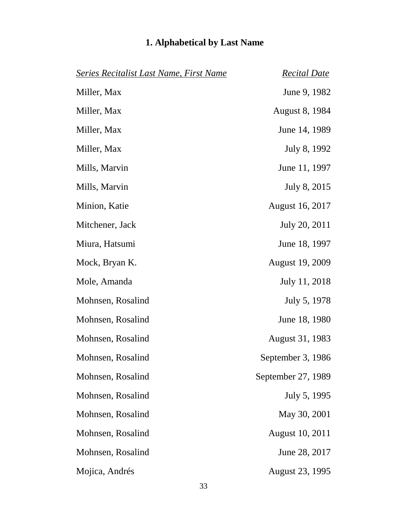| <b>Series Recitalist Last Name, First Name</b> | <b>Recital Date</b>    |
|------------------------------------------------|------------------------|
| Miller, Max                                    | June 9, 1982           |
| Miller, Max                                    | <b>August 8, 1984</b>  |
| Miller, Max                                    | June 14, 1989          |
| Miller, Max                                    | July 8, 1992           |
| Mills, Marvin                                  | June 11, 1997          |
| Mills, Marvin                                  | July 8, 2015           |
| Minion, Katie                                  | <b>August 16, 2017</b> |
| Mitchener, Jack                                | July 20, 2011          |
| Miura, Hatsumi                                 | June 18, 1997          |
| Mock, Bryan K.                                 | <b>August 19, 2009</b> |
| Mole, Amanda                                   | July 11, 2018          |
| Mohnsen, Rosalind                              | July 5, 1978           |
| Mohnsen, Rosalind                              | June 18, 1980          |
| Mohnsen, Rosalind                              | August 31, 1983        |
| Mohnsen, Rosalind                              | September 3, 1986      |
| Mohnsen, Rosalind                              | September 27, 1989     |
| Mohnsen, Rosalind                              | July 5, 1995           |
| Mohnsen, Rosalind                              | May 30, 2001           |
| Mohnsen, Rosalind                              | <b>August 10, 2011</b> |
| Mohnsen, Rosalind                              | June 28, 2017          |
| Mojica, Andrés                                 | <b>August 23, 1995</b> |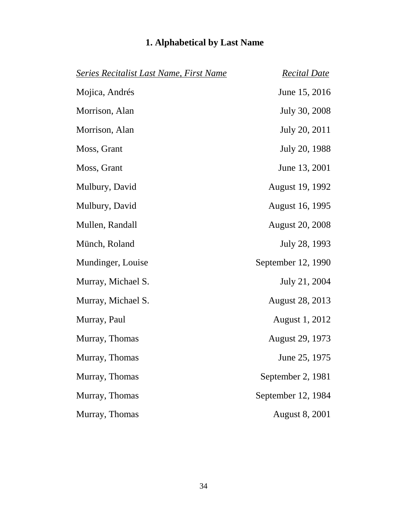| <b>Series Recitalist Last Name, First Name</b> | <b>Recital Date</b>    |
|------------------------------------------------|------------------------|
| Mojica, Andrés                                 | June 15, 2016          |
| Morrison, Alan                                 | July 30, 2008          |
| Morrison, Alan                                 | July 20, 2011          |
| Moss, Grant                                    | July 20, 1988          |
| Moss, Grant                                    | June 13, 2001          |
| Mulbury, David                                 | August 19, 1992        |
| Mulbury, David                                 | August 16, 1995        |
| Mullen, Randall                                | <b>August 20, 2008</b> |
| Münch, Roland                                  | July 28, 1993          |
| Mundinger, Louise                              | September 12, 1990     |
| Murray, Michael S.                             | July 21, 2004          |
| Murray, Michael S.                             | <b>August 28, 2013</b> |
| Murray, Paul                                   | August 1, 2012         |
| Murray, Thomas                                 | August 29, 1973        |
| Murray, Thomas                                 | June 25, 1975          |
| Murray, Thomas                                 | September 2, 1981      |
| Murray, Thomas                                 | September 12, 1984     |
| Murray, Thomas                                 | <b>August 8, 2001</b>  |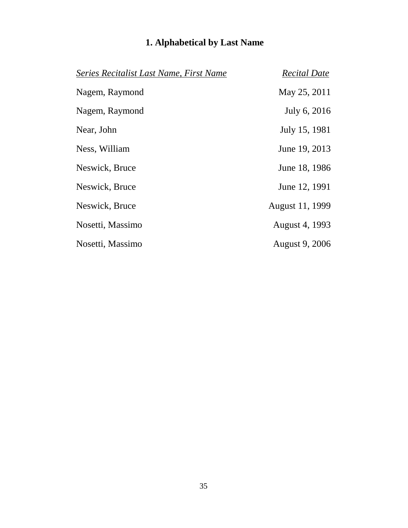| Series Recitalist Last Name, First Name | <b>Recital Date</b> |
|-----------------------------------------|---------------------|
| Nagem, Raymond                          | May 25, 2011        |
| Nagem, Raymond                          | July 6, 2016        |
| Near, John                              | July 15, 1981       |
| Ness, William                           | June 19, 2013       |
| Neswick, Bruce                          | June 18, 1986       |
| Neswick, Bruce                          | June 12, 1991       |
| Neswick, Bruce                          | August 11, 1999     |
| Nosetti, Massimo                        | August 4, 1993      |
| Nosetti, Massimo                        | August 9, 2006      |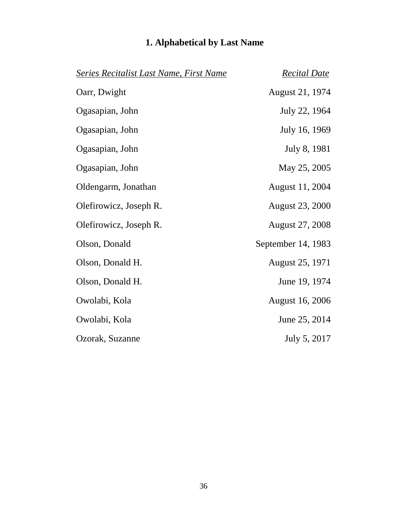| <u> Series Recitalist Last Name, First Name</u> | <u>Recital Date</u>    |
|-------------------------------------------------|------------------------|
| Oarr, Dwight                                    | August 21, 1974        |
| Ogasapian, John                                 | July 22, 1964          |
| Ogasapian, John                                 | July 16, 1969          |
| Ogasapian, John                                 | July 8, 1981           |
| Ogasapian, John                                 | May 25, 2005           |
| Oldengarm, Jonathan                             | August 11, 2004        |
| Olefirowicz, Joseph R.                          | <b>August 23, 2000</b> |
| Olefirowicz, Joseph R.                          | <b>August 27, 2008</b> |
| Olson, Donald                                   | September 14, 1983     |
| Olson, Donald H.                                | August 25, 1971        |
| Olson, Donald H.                                | June 19, 1974          |
| Owolabi, Kola                                   | <b>August 16, 2006</b> |
| Owolabi, Kola                                   | June 25, 2014          |
| Ozorak, Suzanne                                 | July 5, 2017           |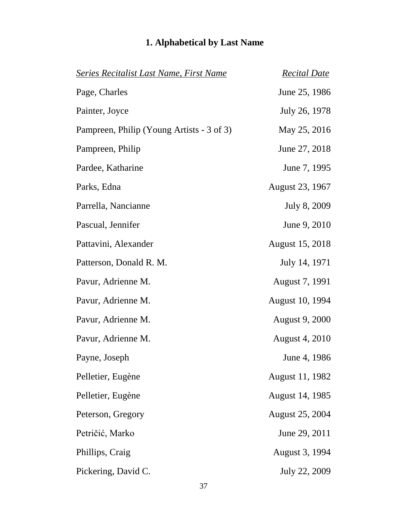| <b>Series Recitalist Last Name, First Name</b> | <b>Recital Date</b>    |
|------------------------------------------------|------------------------|
| Page, Charles                                  | June 25, 1986          |
| Painter, Joyce                                 | July 26, 1978          |
| Pampreen, Philip (Young Artists - 3 of 3)      | May 25, 2016           |
| Pampreen, Philip                               | June 27, 2018          |
| Pardee, Katharine                              | June 7, 1995           |
| Parks, Edna                                    | August 23, 1967        |
| Parrella, Nancianne                            | July 8, 2009           |
| Pascual, Jennifer                              | June 9, 2010           |
| Pattavini, Alexander                           | August 15, 2018        |
| Patterson, Donald R. M.                        | July 14, 1971          |
| Pavur, Adrienne M.                             | August 7, 1991         |
| Pavur, Adrienne M.                             | August 10, 1994        |
| Pavur, Adrienne M.                             | <b>August 9, 2000</b>  |
| Pavur, Adrienne M.                             | <b>August 4, 2010</b>  |
| Payne, Joseph                                  | June 4, 1986           |
| Pelletier, Eugène                              | August 11, 1982        |
| Pelletier, Eugène                              | August 14, 1985        |
| Peterson, Gregory                              | <b>August 25, 2004</b> |
| Petričić, Marko                                | June 29, 2011          |
| Phillips, Craig                                | August 3, 1994         |
| Pickering, David C.                            | July 22, 2009          |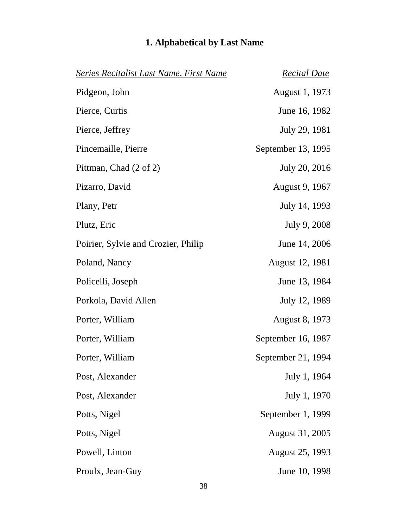| <b>Series Recitalist Last Name, First Name</b> | <b>Recital Date</b>    |
|------------------------------------------------|------------------------|
| Pidgeon, John                                  | August 1, 1973         |
| Pierce, Curtis                                 | June 16, 1982          |
| Pierce, Jeffrey                                | July 29, 1981          |
| Pincemaille, Pierre                            | September 13, 1995     |
| Pittman, Chad (2 of 2)                         | July 20, 2016          |
| Pizarro, David                                 | August 9, 1967         |
| Plany, Petr                                    | July 14, 1993          |
| Plutz, Eric                                    | July 9, 2008           |
| Poirier, Sylvie and Crozier, Philip            | June 14, 2006          |
| Poland, Nancy                                  | August 12, 1981        |
| Policelli, Joseph                              | June 13, 1984          |
| Porkola, David Allen                           | July 12, 1989          |
| Porter, William                                | <b>August 8, 1973</b>  |
| Porter, William                                | September 16, 1987     |
| Porter, William                                | September 21, 1994     |
| Post, Alexander                                | July 1, 1964           |
| Post, Alexander                                | July 1, 1970           |
| Potts, Nigel                                   | September 1, 1999      |
| Potts, Nigel                                   | August 31, 2005        |
| Powell, Linton                                 | <b>August 25, 1993</b> |
| Proulx, Jean-Guy                               | June 10, 1998          |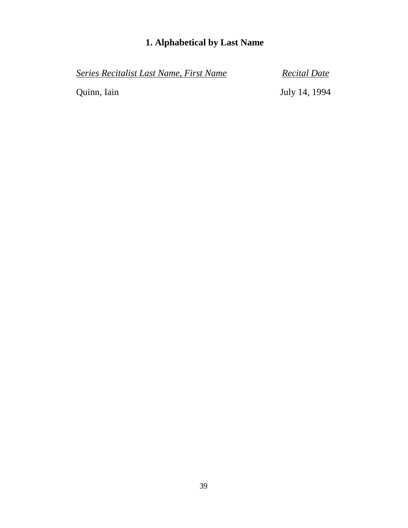*Series Recitalist Last Name, First Name Recital Date*

Quinn, Iain July 14, 1994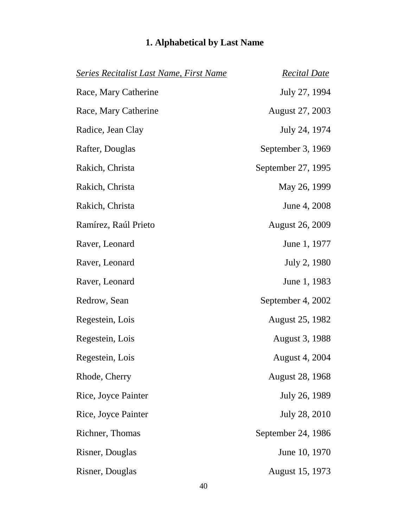| <b>Series Recitalist Last Name, First Name</b> | <b>Recital Date</b>    |
|------------------------------------------------|------------------------|
| Race, Mary Catherine                           | July 27, 1994          |
| Race, Mary Catherine                           | August 27, 2003        |
| Radice, Jean Clay                              | July 24, 1974          |
| Rafter, Douglas                                | September 3, 1969      |
| Rakich, Christa                                | September 27, 1995     |
| Rakich, Christa                                | May 26, 1999           |
| Rakich, Christa                                | June 4, 2008           |
| Ramírez, Raúl Prieto                           | <b>August 26, 2009</b> |
| Raver, Leonard                                 | June 1, 1977           |
| Raver, Leonard                                 | July 2, 1980           |
| Raver, Leonard                                 | June 1, 1983           |
| Redrow, Sean                                   | September 4, 2002      |
| Regestein, Lois                                | August 25, 1982        |
| Regestein, Lois                                | August 3, 1988         |
| Regestein, Lois                                | <b>August 4, 2004</b>  |
| Rhode, Cherry                                  | <b>August 28, 1968</b> |
| Rice, Joyce Painter                            | July 26, 1989          |
| Rice, Joyce Painter                            | July 28, 2010          |
| Richner, Thomas                                | September 24, 1986     |
| Risner, Douglas                                | June 10, 1970          |
| Risner, Douglas                                | August 15, 1973        |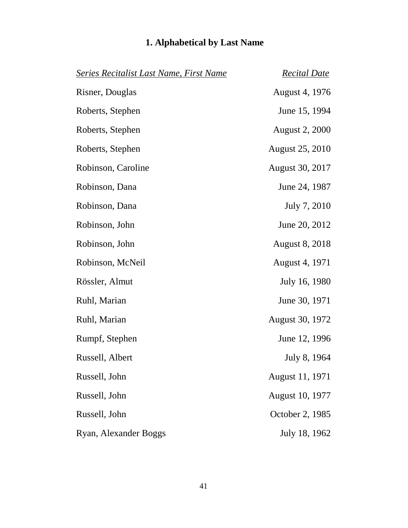| Series Recitalist Last Name, First Name | <b>Recital Date</b>    |
|-----------------------------------------|------------------------|
| Risner, Douglas                         | August 4, 1976         |
| Roberts, Stephen                        | June 15, 1994          |
| Roberts, Stephen                        | <b>August 2, 2000</b>  |
| Roberts, Stephen                        | <b>August 25, 2010</b> |
| Robinson, Caroline                      | August 30, 2017        |
| Robinson, Dana                          | June 24, 1987          |
| Robinson, Dana                          | July 7, 2010           |
| Robinson, John                          | June 20, 2012          |
| Robinson, John                          | <b>August 8, 2018</b>  |
| Robinson, McNeil                        | August 4, 1971         |
| Rössler, Almut                          | July 16, 1980          |
| Ruhl, Marian                            | June 30, 1971          |
| Ruhl, Marian                            | <b>August 30, 1972</b> |
| Rumpf, Stephen                          | June 12, 1996          |
| Russell, Albert                         | July 8, 1964           |
| Russell, John                           | August 11, 1971        |
| Russell, John                           | <b>August 10, 1977</b> |
| Russell, John                           | October 2, 1985        |
| Ryan, Alexander Boggs                   | July 18, 1962          |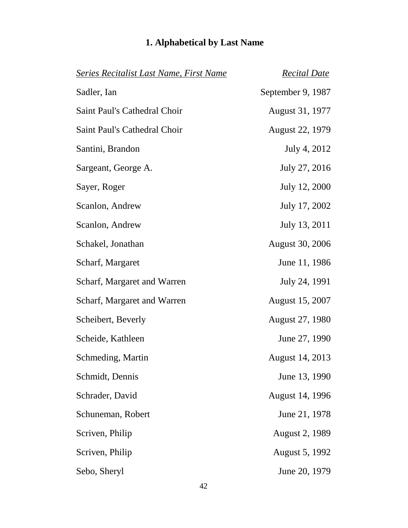| Series Recitalist Last Name, First Name | <b>Recital Date</b>    |
|-----------------------------------------|------------------------|
| Sadler, Ian                             | September 9, 1987      |
| Saint Paul's Cathedral Choir            | August 31, 1977        |
| Saint Paul's Cathedral Choir            | <b>August 22, 1979</b> |
| Santini, Brandon                        | July 4, 2012           |
| Sargeant, George A.                     | July 27, 2016          |
| Sayer, Roger                            | July 12, 2000          |
| Scanlon, Andrew                         | July 17, 2002          |
| Scanlon, Andrew                         | July 13, 2011          |
| Schakel, Jonathan                       | <b>August 30, 2006</b> |
| Scharf, Margaret                        | June 11, 1986          |
| Scharf, Margaret and Warren             | July 24, 1991          |
| Scharf, Margaret and Warren             | <b>August 15, 2007</b> |
| Scheibert, Beverly                      | August 27, 1980        |
| Scheide, Kathleen                       | June 27, 1990          |
| Schmeding, Martin                       | August 14, 2013        |
| Schmidt, Dennis                         | June 13, 1990          |
| Schrader, David                         | August 14, 1996        |
| Schuneman, Robert                       | June 21, 1978          |
| Scriven, Philip                         | <b>August 2, 1989</b>  |
| Scriven, Philip                         | <b>August 5, 1992</b>  |
| Sebo, Sheryl                            | June 20, 1979          |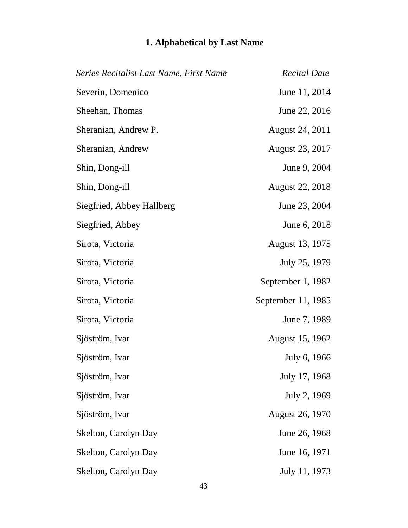| <b>Series Recitalist Last Name, First Name</b> | <b>Recital Date</b>    |
|------------------------------------------------|------------------------|
| Severin, Domenico                              | June 11, 2014          |
| Sheehan, Thomas                                | June 22, 2016          |
| Sheranian, Andrew P.                           | August 24, 2011        |
| Sheranian, Andrew                              | August 23, 2017        |
| Shin, Dong-ill                                 | June 9, 2004           |
| Shin, Dong-ill                                 | <b>August 22, 2018</b> |
| Siegfried, Abbey Hallberg                      | June 23, 2004          |
| Siegfried, Abbey                               | June 6, 2018           |
| Sirota, Victoria                               | August 13, 1975        |
| Sirota, Victoria                               | July 25, 1979          |
| Sirota, Victoria                               | September 1, 1982      |
| Sirota, Victoria                               | September 11, 1985     |
| Sirota, Victoria                               | June 7, 1989           |
| Sjöström, Ivar                                 | August 15, 1962        |
| Sjöström, Ivar                                 | July 6, 1966           |
| Sjöström, Ivar                                 | July 17, 1968          |
| Sjöström, Ivar                                 | July 2, 1969           |
| Sjöström, Ivar                                 | August 26, 1970        |
| Skelton, Carolyn Day                           | June 26, 1968          |
| Skelton, Carolyn Day                           | June 16, 1971          |
| Skelton, Carolyn Day                           | July 11, 1973          |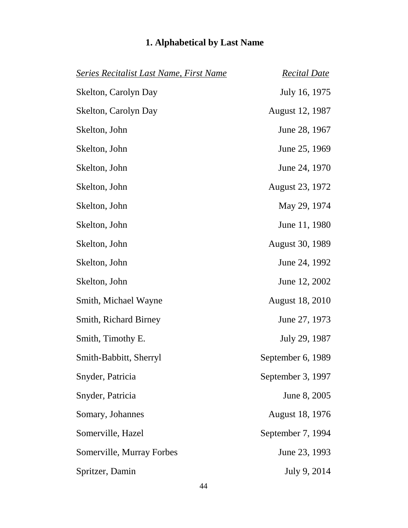| <b>Series Recitalist Last Name, First Name</b> | <u>Recital Date</u>    |
|------------------------------------------------|------------------------|
| Skelton, Carolyn Day                           | July 16, 1975          |
| Skelton, Carolyn Day                           | August 12, 1987        |
| Skelton, John                                  | June 28, 1967          |
| Skelton, John                                  | June 25, 1969          |
| Skelton, John                                  | June 24, 1970          |
| Skelton, John                                  | August 23, 1972        |
| Skelton, John                                  | May 29, 1974           |
| Skelton, John                                  | June 11, 1980          |
| Skelton, John                                  | <b>August 30, 1989</b> |
| Skelton, John                                  | June 24, 1992          |
| Skelton, John                                  | June 12, 2002          |
| Smith, Michael Wayne                           | <b>August 18, 2010</b> |
| <b>Smith, Richard Birney</b>                   | June 27, 1973          |
| Smith, Timothy E.                              | July 29, 1987          |
| Smith-Babbitt, Sherryl                         | September 6, 1989      |
| Snyder, Patricia                               | September 3, 1997      |
| Snyder, Patricia                               | June 8, 2005           |
| Somary, Johannes                               | <b>August 18, 1976</b> |
| Somerville, Hazel                              | September 7, 1994      |
| Somerville, Murray Forbes                      | June 23, 1993          |
| Spritzer, Damin                                | July 9, 2014           |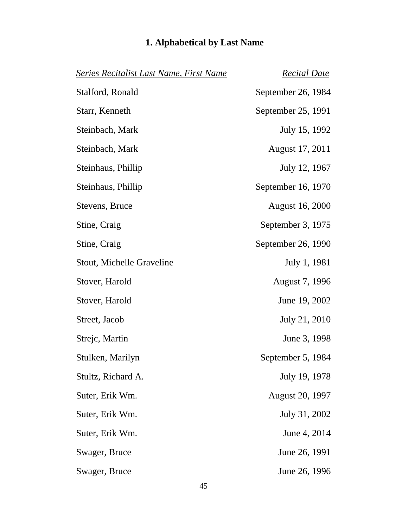| Series Recitalist Last Name, First Name | <b>Recital Date</b>    |
|-----------------------------------------|------------------------|
| Stalford, Ronald                        | September 26, 1984     |
| Starr, Kenneth                          | September 25, 1991     |
| Steinbach, Mark                         | July 15, 1992          |
| Steinbach, Mark                         | August 17, 2011        |
| Steinhaus, Phillip                      | July 12, 1967          |
| Steinhaus, Phillip                      | September 16, 1970     |
| Stevens, Bruce                          | August 16, 2000        |
| Stine, Craig                            | September 3, 1975      |
| Stine, Craig                            | September 26, 1990     |
| Stout, Michelle Graveline               | July 1, 1981           |
| Stover, Harold                          | August 7, 1996         |
| Stover, Harold                          | June 19, 2002          |
| Street, Jacob                           | July 21, 2010          |
| Strejc, Martin                          | June 3, 1998           |
| Stulken, Marilyn                        | September 5, 1984      |
| Stultz, Richard A.                      | July 19, 1978          |
| Suter, Erik Wm.                         | <b>August 20, 1997</b> |
| Suter, Erik Wm.                         | July 31, 2002          |
| Suter, Erik Wm.                         | June 4, 2014           |
| Swager, Bruce                           | June 26, 1991          |
| Swager, Bruce                           | June 26, 1996          |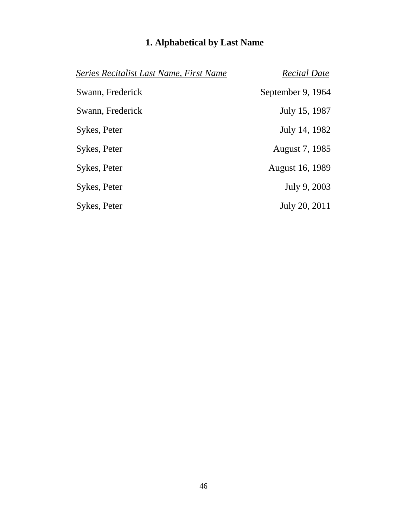| Series Recitalist Last Name, First Name | <b>Recital Date</b> |
|-----------------------------------------|---------------------|
| Swann, Frederick                        | September 9, 1964   |
| Swann, Frederick                        | July 15, 1987       |
| Sykes, Peter                            | July 14, 1982       |
| Sykes, Peter                            | August 7, 1985      |
| Sykes, Peter                            | August 16, 1989     |
| Sykes, Peter                            | July 9, 2003        |
| Sykes, Peter                            | July 20, 2011       |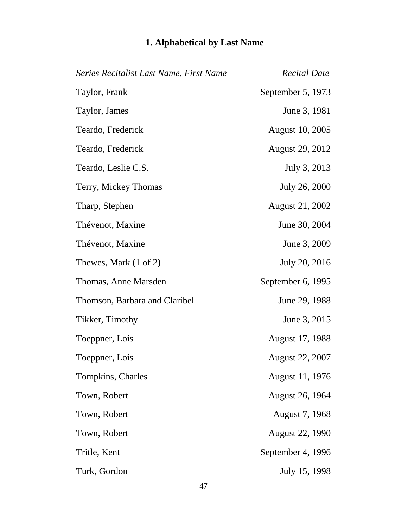# *Series Recitalist Last Name, First Name Recital Date* Taylor, Frank September 5, 1973 Taylor, James June 3, 1981 Teardo, Frederick August 10, 2005 Teardo, Frederick August 29, 2012 Teardo, Leslie C.S. July 3, 2013 Terry, Mickey Thomas July 26, 2000 Tharp, Stephen August 21, 2002 Thévenot, Maxine June 30, 2004 Thévenot, Maxine June 3, 2009 Thewes, Mark (1 of 2) July 20, 2016 Thomas, Anne Marsden September 6, 1995 Thomson, Barbara and Claribel June 29, 1988 Tikker, Timothy June 3, 2015 Toeppner, Lois August 17, 1988 Toeppner, Lois August 22, 2007 Tompkins, Charles August 11, 1976 Town, Robert August 26, 1964 Town, Robert August 7, 1968 Town, Robert August 22, 1990 Tritle, Kent September 4, 1996 Turk, Gordon July 15, 1998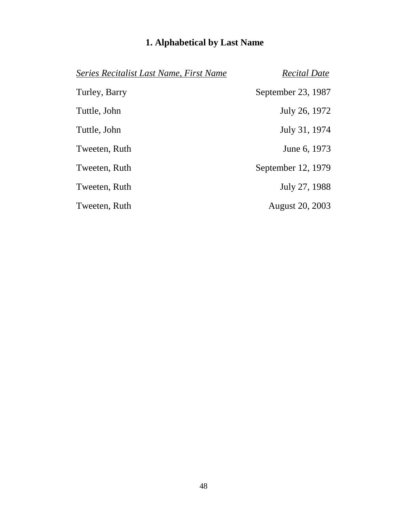| Series Recitalist Last Name, First Name | <b>Recital Date</b> |
|-----------------------------------------|---------------------|
| Turley, Barry                           | September 23, 1987  |
| Tuttle, John                            | July 26, 1972       |
| Tuttle, John                            | July 31, 1974       |
| Tweeten, Ruth                           | June 6, 1973        |
| Tweeten, Ruth                           | September 12, 1979  |
| Tweeten, Ruth                           | July 27, 1988       |
| Tweeten, Ruth                           | August 20, 2003     |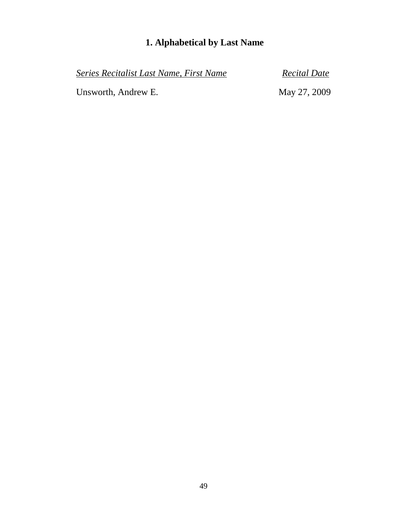*Series Recitalist Last Name, First Name Recital Date*

Unsworth, Andrew E. May 27, 2009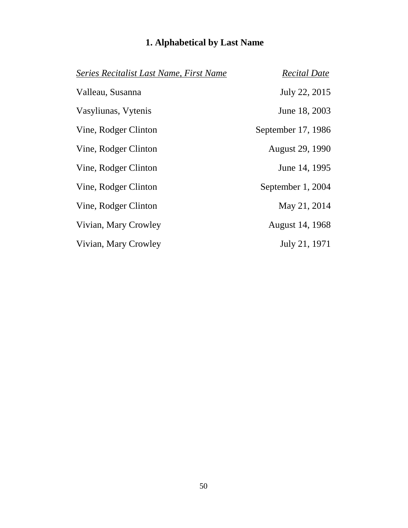| Series Recitalist Last Name, First Name | <b>Recital Date</b> |
|-----------------------------------------|---------------------|
| Valleau, Susanna                        | July 22, 2015       |
| Vasyliunas, Vytenis                     | June 18, 2003       |
| Vine, Rodger Clinton                    | September 17, 1986  |
| Vine, Rodger Clinton                    | August 29, 1990     |
| Vine, Rodger Clinton                    | June 14, 1995       |
| Vine, Rodger Clinton                    | September 1, 2004   |
| Vine, Rodger Clinton                    | May 21, 2014        |
| Vivian, Mary Crowley                    | August 14, 1968     |
| Vivian, Mary Crowley                    | July 21, 1971       |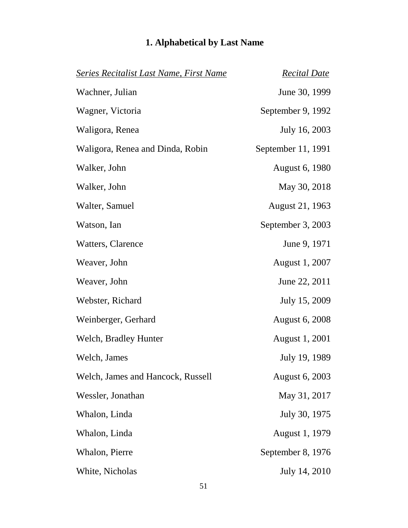| <b>Series Recitalist Last Name, First Name</b> | <b>Recital Date</b>   |  |  |
|------------------------------------------------|-----------------------|--|--|
| Wachner, Julian                                | June 30, 1999         |  |  |
| Wagner, Victoria                               | September 9, 1992     |  |  |
| Waligora, Renea                                | July 16, 2003         |  |  |
| Waligora, Renea and Dinda, Robin               | September 11, 1991    |  |  |
| <b>August 6, 1980</b><br>Walker, John          |                       |  |  |
| Walker, John                                   | May 30, 2018          |  |  |
| Walter, Samuel                                 | August 21, 1963       |  |  |
| Watson, Ian                                    | September 3, 2003     |  |  |
| Watters, Clarence                              | June 9, 1971          |  |  |
| Weaver, John                                   | August 1, 2007        |  |  |
| Weaver, John                                   | June 22, 2011         |  |  |
| Webster, Richard                               | July 15, 2009         |  |  |
| Weinberger, Gerhard                            | <b>August 6, 2008</b> |  |  |
| Welch, Bradley Hunter                          | August 1, 2001        |  |  |
| Welch, James                                   | July 19, 1989         |  |  |
| Welch, James and Hancock, Russell              | <b>August 6, 2003</b> |  |  |
| Wessler, Jonathan                              | May 31, 2017          |  |  |
| Whalon, Linda                                  | July 30, 1975         |  |  |
| Whalon, Linda                                  | August 1, 1979        |  |  |
| Whalon, Pierre                                 | September 8, 1976     |  |  |
| White, Nicholas                                | July 14, 2010         |  |  |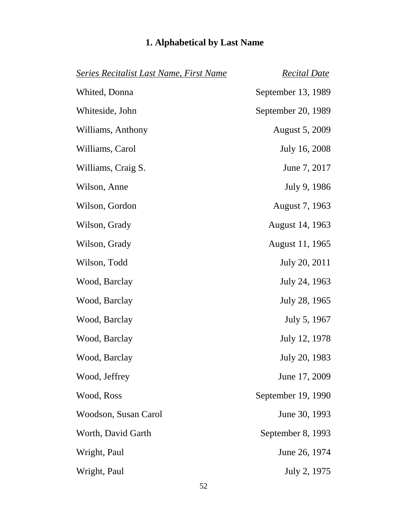| <b>Series Recitalist Last Name, First Name</b> | <b>Recital Date</b>   |
|------------------------------------------------|-----------------------|
| Whited, Donna                                  | September 13, 1989    |
| Whiteside, John                                | September 20, 1989    |
| Williams, Anthony                              | <b>August 5, 2009</b> |
| Williams, Carol                                | July 16, 2008         |
| Williams, Craig S.                             | June 7, 2017          |
| Wilson, Anne                                   | July 9, 1986          |
| Wilson, Gordon                                 | August 7, 1963        |
| Wilson, Grady                                  | August 14, 1963       |
| Wilson, Grady                                  | August 11, 1965       |
| Wilson, Todd                                   | July 20, 2011         |
| Wood, Barclay                                  | July 24, 1963         |
| Wood, Barclay                                  | July 28, 1965         |
| Wood, Barclay                                  | July 5, 1967          |
| Wood, Barclay                                  | July 12, 1978         |
| Wood, Barclay                                  | July 20, 1983         |
| Wood, Jeffrey                                  | June 17, 2009         |
| Wood, Ross                                     | September 19, 1990    |
| Woodson, Susan Carol                           | June 30, 1993         |
| Worth, David Garth                             | September 8, 1993     |
| Wright, Paul                                   | June 26, 1974         |
| Wright, Paul                                   | July 2, 1975          |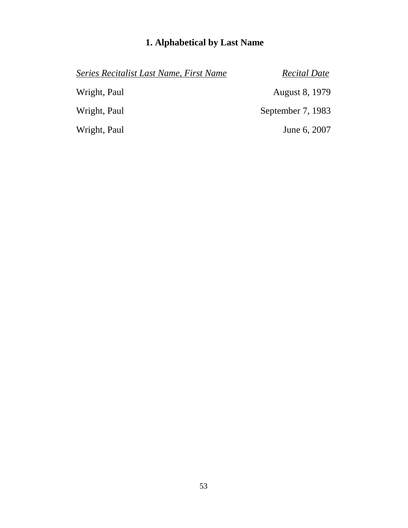| Series Recitalist Last Name, First Name | <b>Recital Date</b>   |
|-----------------------------------------|-----------------------|
| Wright, Paul                            | <b>August 8, 1979</b> |
| Wright, Paul                            | September 7, 1983     |
| Wright, Paul                            | June 6, 2007          |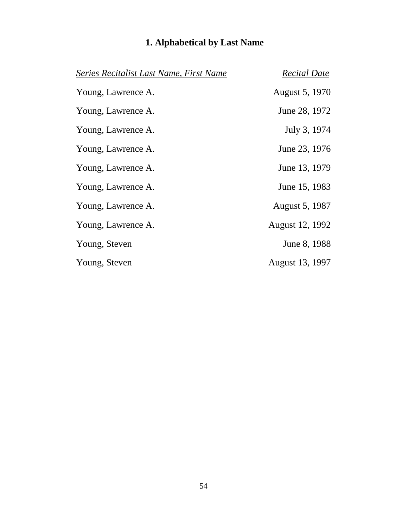| Series Recitalist Last Name, First Name | <b>Recital Date</b>   |
|-----------------------------------------|-----------------------|
| Young, Lawrence A.                      | August 5, 1970        |
| Young, Lawrence A.                      | June 28, 1972         |
| Young, Lawrence A.                      | July 3, 1974          |
| Young, Lawrence A.                      | June 23, 1976         |
| Young, Lawrence A.                      | June 13, 1979         |
| Young, Lawrence A.                      | June 15, 1983         |
| Young, Lawrence A.                      | <b>August 5, 1987</b> |
| Young, Lawrence A.                      | August 12, 1992       |
| Young, Steven                           | June 8, 1988          |
| Young, Steven                           | August 13, 1997       |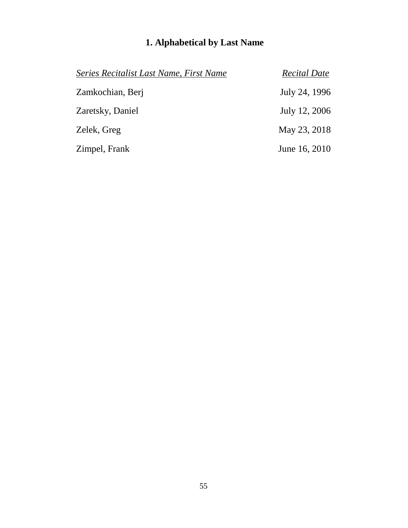| Series Recitalist Last Name, First Name | <b>Recital Date</b> |
|-----------------------------------------|---------------------|
| Zamkochian, Berj                        | July 24, 1996       |
| Zaretsky, Daniel                        | July 12, 2006       |
| Zelek, Greg                             | May 23, 2018        |
| Zimpel, Frank                           | June 16, 2010       |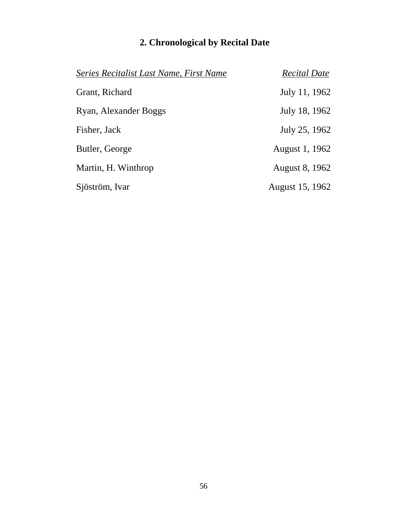| Series Recitalist Last Name, First Name | <b>Recital Date</b> |
|-----------------------------------------|---------------------|
| Grant, Richard                          | July 11, 1962       |
| Ryan, Alexander Boggs                   | July 18, 1962       |
| Fisher, Jack                            | July 25, 1962       |
| Butler, George                          | August 1, 1962      |
| Martin, H. Winthrop                     | August 8, 1962      |
| Sjöström, Ivar                          | August 15, 1962     |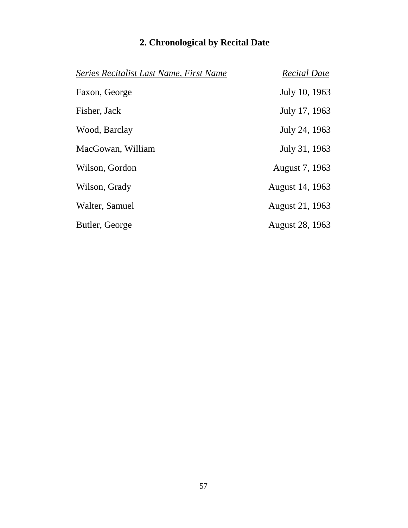| Series Recitalist Last Name, First Name | <b>Recital Date</b> |
|-----------------------------------------|---------------------|
| Faxon, George                           | July 10, 1963       |
| Fisher, Jack                            | July 17, 1963       |
| Wood, Barclay                           | July 24, 1963       |
| MacGowan, William                       | July 31, 1963       |
| Wilson, Gordon                          | August 7, 1963      |
| Wilson, Grady                           | August 14, 1963     |
| Walter, Samuel                          | August 21, 1963     |
| Butler, George                          | August 28, 1963     |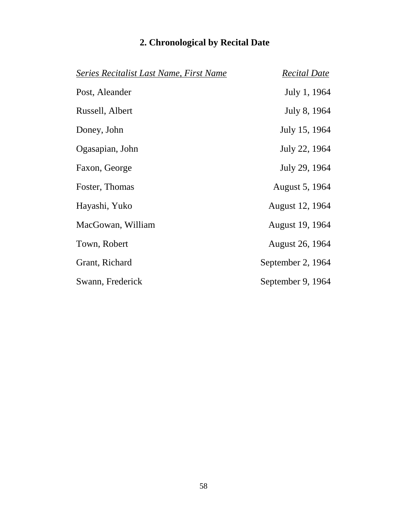| Series Recitalist Last Name, First Name | <b>Recital Date</b> |
|-----------------------------------------|---------------------|
| Post, Aleander                          | July 1, 1964        |
| Russell, Albert                         | July 8, 1964        |
| Doney, John                             | July 15, 1964       |
| Ogasapian, John                         | July 22, 1964       |
| Faxon, George                           | July 29, 1964       |
| Foster, Thomas                          | August 5, 1964      |
| Hayashi, Yuko                           | August 12, 1964     |
| MacGowan, William                       | August 19, 1964     |
| Town, Robert                            | August 26, 1964     |
| Grant, Richard                          | September 2, 1964   |
| Swann, Frederick                        | September 9, 1964   |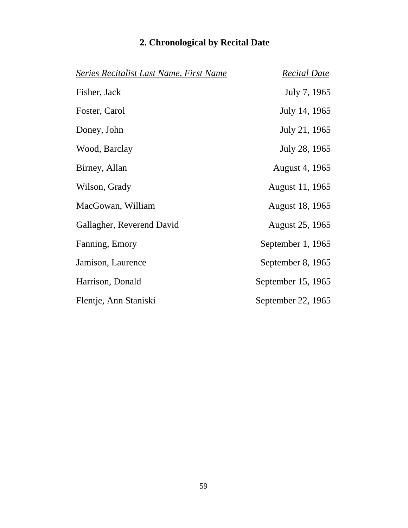| Series Recitalist Last Name, First Name | <b>Recital Date</b> |
|-----------------------------------------|---------------------|
| Fisher, Jack                            | July 7, 1965        |
| Foster, Carol                           | July 14, 1965       |
| Doney, John                             | July 21, 1965       |
| Wood, Barclay                           | July 28, 1965       |
| Birney, Allan                           | August 4, 1965      |
| Wilson, Grady                           | August 11, 1965     |
| MacGowan, William                       | August 18, 1965     |
| Gallagher, Reverend David               | August 25, 1965     |
| Fanning, Emory                          | September 1, 1965   |
| Jamison, Laurence                       | September 8, 1965   |
| Harrison, Donald                        | September 15, 1965  |
| Flentje, Ann Staniski                   | September 22, 1965  |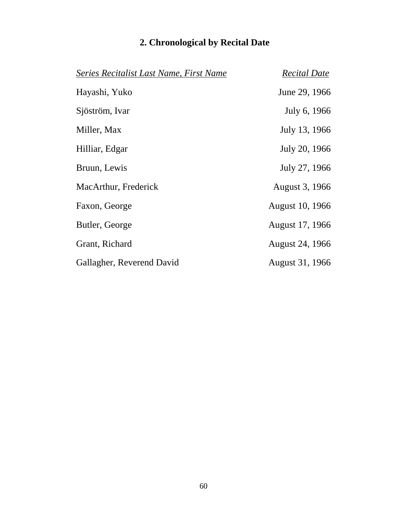| Series Recitalist Last Name, First Name | <b>Recital Date</b> |
|-----------------------------------------|---------------------|
| Hayashi, Yuko                           | June 29, 1966       |
| Sjöström, Ivar                          | July 6, 1966        |
| Miller, Max                             | July 13, 1966       |
| Hilliar, Edgar                          | July 20, 1966       |
| Bruun, Lewis                            | July 27, 1966       |
| MacArthur, Frederick                    | August 3, 1966      |
| Faxon, George                           | August 10, 1966     |
| Butler, George                          | August 17, 1966     |
| Grant, Richard                          | August 24, 1966     |
| Gallagher, Reverend David               | August 31, 1966     |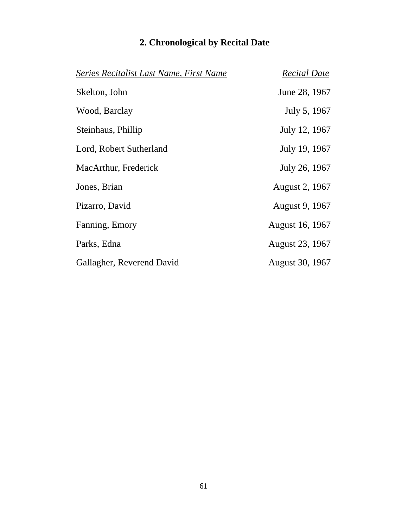|  | 2. Chronological by Recital Date |  |  |  |  |
|--|----------------------------------|--|--|--|--|
|--|----------------------------------|--|--|--|--|

| Series Recitalist Last Name, First Name | <b>Recital Date</b> |
|-----------------------------------------|---------------------|
| Skelton, John                           | June 28, 1967       |
| Wood, Barclay                           | July 5, 1967        |
| Steinhaus, Phillip                      | July 12, 1967       |
| Lord, Robert Sutherland                 | July 19, 1967       |
| MacArthur, Frederick                    | July 26, 1967       |
| Jones, Brian                            | August 2, 1967      |
| Pizarro, David                          | August 9, 1967      |
| Fanning, Emory                          | August 16, 1967     |
| Parks, Edna                             | August 23, 1967     |
| Gallagher, Reverend David               | August 30, 1967     |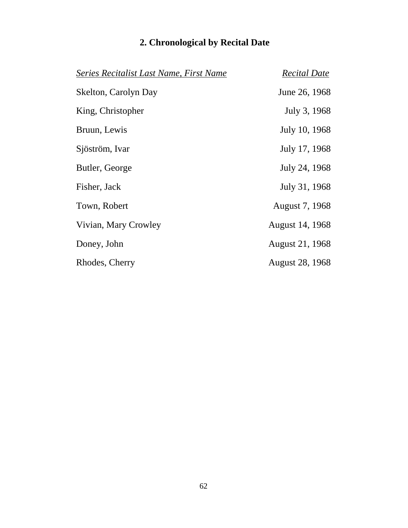| Series Recitalist Last Name, First Name | <b>Recital Date</b>    |
|-----------------------------------------|------------------------|
| Skelton, Carolyn Day                    | June 26, 1968          |
| King, Christopher                       | July 3, 1968           |
| Bruun, Lewis                            | July 10, 1968          |
| Sjöström, Ivar                          | July 17, 1968          |
| Butler, George                          | July 24, 1968          |
| Fisher, Jack                            | July 31, 1968          |
| Town, Robert                            | August 7, 1968         |
| Vivian, Mary Crowley                    | August 14, 1968        |
| Doney, John                             | August 21, 1968        |
| Rhodes, Cherry                          | <b>August 28, 1968</b> |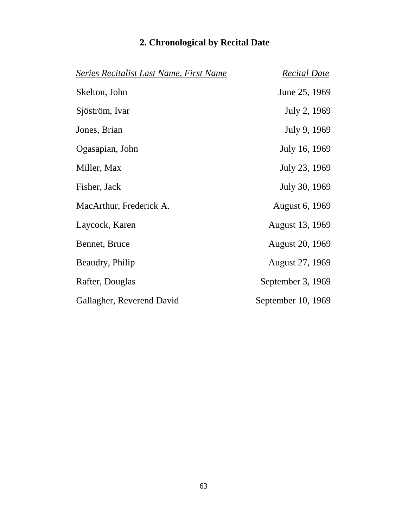| Series Recitalist Last Name, First Name | <b>Recital Date</b> |
|-----------------------------------------|---------------------|
| Skelton, John                           | June 25, 1969       |
| Sjöström, Ivar                          | July 2, 1969        |
| Jones, Brian                            | July 9, 1969        |
| Ogasapian, John                         | July 16, 1969       |
| Miller, Max                             | July 23, 1969       |
| Fisher, Jack                            | July 30, 1969       |
| MacArthur, Frederick A.                 | August 6, 1969      |
| Laycock, Karen                          | August 13, 1969     |
| Bennet, Bruce                           | August 20, 1969     |
| Beaudry, Philip                         | August 27, 1969     |
| Rafter, Douglas                         | September 3, 1969   |
| Gallagher, Reverend David               | September 10, 1969  |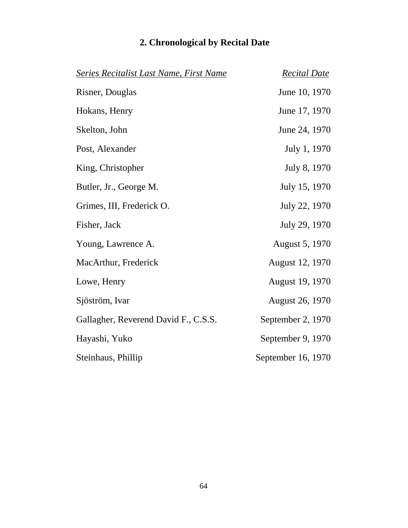| <b>Series Recitalist Last Name, First Name</b> | <b>Recital Date</b>    |
|------------------------------------------------|------------------------|
| Risner, Douglas                                | June 10, 1970          |
| Hokans, Henry                                  | June 17, 1970          |
| Skelton, John                                  | June 24, 1970          |
| Post, Alexander                                | July 1, 1970           |
| King, Christopher                              | July 8, 1970           |
| Butler, Jr., George M.                         | July 15, 1970          |
| Grimes, III, Frederick O.                      | July 22, 1970          |
| Fisher, Jack                                   | July 29, 1970          |
| Young, Lawrence A.                             | August 5, 1970         |
| MacArthur, Frederick                           | August 12, 1970        |
| Lowe, Henry                                    | August 19, 1970        |
| Sjöström, Ivar                                 | <b>August 26, 1970</b> |
| Gallagher, Reverend David F., C.S.S.           | September 2, 1970      |
| Hayashi, Yuko                                  | September 9, 1970      |
| Steinhaus, Phillip                             | September 16, 1970     |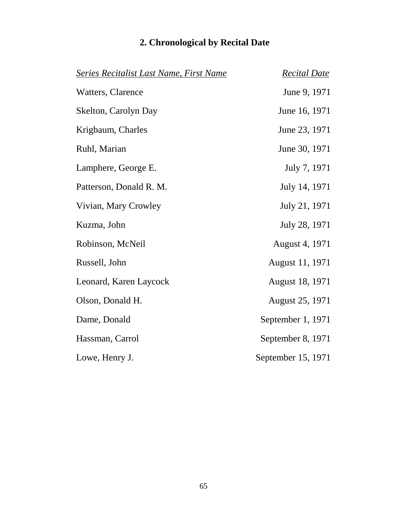| <b>Series Recitalist Last Name, First Name</b> | <b>Recital Date</b> |
|------------------------------------------------|---------------------|
| Watters, Clarence                              | June 9, 1971        |
| Skelton, Carolyn Day                           | June 16, 1971       |
| Krigbaum, Charles                              | June 23, 1971       |
| Ruhl, Marian                                   | June 30, 1971       |
| Lamphere, George E.                            | July 7, 1971        |
| Patterson, Donald R. M.                        | July 14, 1971       |
| Vivian, Mary Crowley                           | July 21, 1971       |
| Kuzma, John                                    | July 28, 1971       |
| Robinson, McNeil                               | August 4, 1971      |
| Russell, John                                  | August 11, 1971     |
| Leonard, Karen Laycock                         | August 18, 1971     |
| Olson, Donald H.                               | August 25, 1971     |
| Dame, Donald                                   | September 1, 1971   |
| Hassman, Carrol                                | September 8, 1971   |
| Lowe, Henry J.                                 | September 15, 1971  |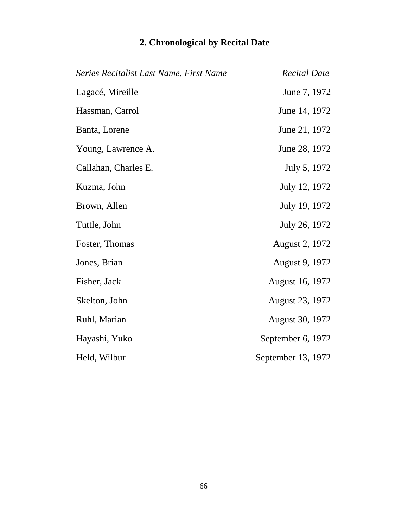|  | 2. Chronological by Recital Date |  |  |  |  |
|--|----------------------------------|--|--|--|--|
|--|----------------------------------|--|--|--|--|

| <b>Series Recitalist Last Name, First Name</b> | <b>Recital Date</b> |
|------------------------------------------------|---------------------|
| Lagacé, Mireille                               | June 7, 1972        |
| Hassman, Carrol                                | June 14, 1972       |
| Banta, Lorene                                  | June 21, 1972       |
| Young, Lawrence A.                             | June 28, 1972       |
| Callahan, Charles E.                           | July 5, 1972        |
| Kuzma, John                                    | July 12, 1972       |
| Brown, Allen                                   | July 19, 1972       |
| Tuttle, John                                   | July 26, 1972       |
| Foster, Thomas                                 | August 2, 1972      |
| Jones, Brian                                   | August 9, 1972      |
| Fisher, Jack                                   | August 16, 1972     |
| Skelton, John                                  | August 23, 1972     |
| Ruhl, Marian                                   | August 30, 1972     |
| Hayashi, Yuko                                  | September 6, 1972   |
| Held, Wilbur                                   | September 13, 1972  |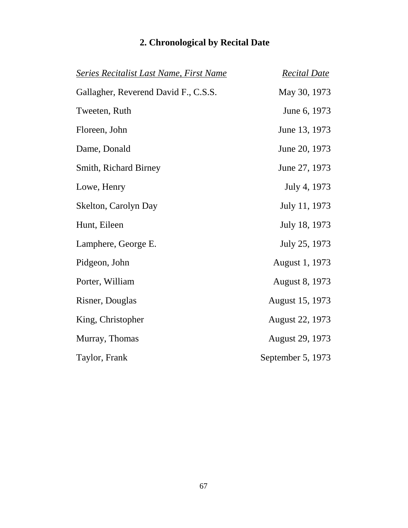| <b>Series Recitalist Last Name, First Name</b> | <b>Recital Date</b>   |
|------------------------------------------------|-----------------------|
| Gallagher, Reverend David F., C.S.S.           | May 30, 1973          |
| Tweeten, Ruth                                  | June 6, 1973          |
| Floreen, John                                  | June 13, 1973         |
| Dame, Donald                                   | June 20, 1973         |
| Smith, Richard Birney                          | June 27, 1973         |
| Lowe, Henry                                    | July 4, 1973          |
| Skelton, Carolyn Day                           | July 11, 1973         |
| Hunt, Eileen                                   | July 18, 1973         |
| Lamphere, George E.                            | July 25, 1973         |
| Pidgeon, John                                  | August 1, 1973        |
| Porter, William                                | <b>August 8, 1973</b> |
| Risner, Douglas                                | August 15, 1973       |
| King, Christopher                              | August 22, 1973       |
| Murray, Thomas                                 | August 29, 1973       |
| Taylor, Frank                                  | September 5, 1973     |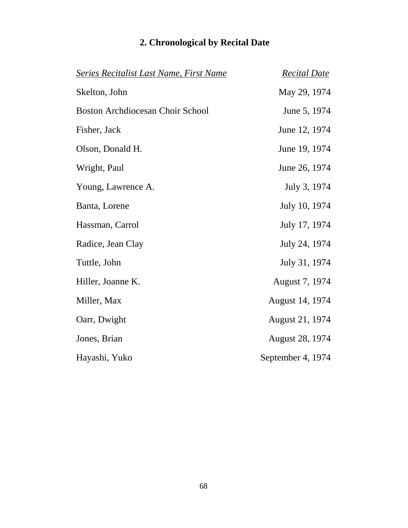| <b>Series Recitalist Last Name, First Name</b> | <b>Recital Date</b>    |
|------------------------------------------------|------------------------|
| Skelton, John                                  | May 29, 1974           |
| Boston Archdiocesan Choir School               | June 5, 1974           |
| Fisher, Jack                                   | June 12, 1974          |
| Olson, Donald H.                               | June 19, 1974          |
| Wright, Paul                                   | June 26, 1974          |
| Young, Lawrence A.                             | July 3, 1974           |
| Banta, Lorene                                  | July 10, 1974          |
| Hassman, Carrol                                | July 17, 1974          |
| Radice, Jean Clay                              | July 24, 1974          |
| Tuttle, John                                   | July 31, 1974          |
| Hiller, Joanne K.                              | August 7, 1974         |
| Miller, Max                                    | August 14, 1974        |
| Oarr, Dwight                                   | August 21, 1974        |
| Jones, Brian                                   | <b>August 28, 1974</b> |
| Hayashi, Yuko                                  | September 4, 1974      |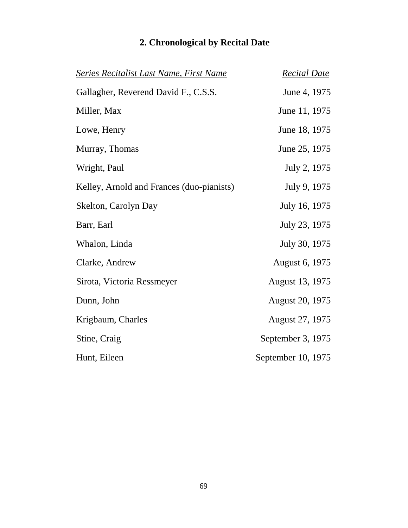| <b>Series Recitalist Last Name, First Name</b> | <b>Recital Date</b>    |
|------------------------------------------------|------------------------|
| Gallagher, Reverend David F., C.S.S.           | June 4, 1975           |
| Miller, Max                                    | June 11, 1975          |
| Lowe, Henry                                    | June 18, 1975          |
| Murray, Thomas                                 | June 25, 1975          |
| Wright, Paul                                   | July 2, 1975           |
| Kelley, Arnold and Frances (duo-pianists)      | July 9, 1975           |
| Skelton, Carolyn Day                           | July 16, 1975          |
| Barr, Earl                                     | July 23, 1975          |
| Whalon, Linda                                  | July 30, 1975          |
| Clarke, Andrew                                 | August 6, 1975         |
| Sirota, Victoria Ressmeyer                     | August 13, 1975        |
| Dunn, John                                     | <b>August 20, 1975</b> |
| Krigbaum, Charles                              | August 27, 1975        |
| Stine, Craig                                   | September 3, 1975      |
| Hunt, Eileen                                   | September 10, 1975     |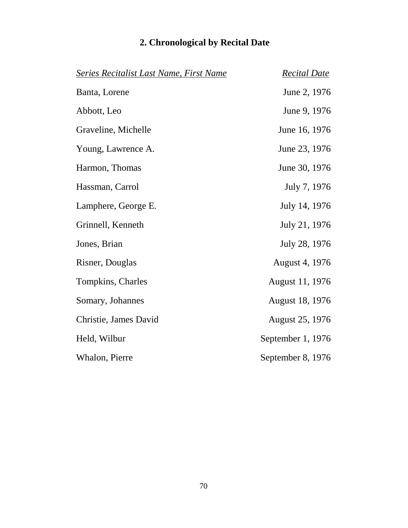| <b>Series Recitalist Last Name, First Name</b> | <b>Recital Date</b> |
|------------------------------------------------|---------------------|
| Banta, Lorene                                  | June 2, 1976        |
| Abbott, Leo                                    | June 9, 1976        |
| Graveline, Michelle                            | June 16, 1976       |
| Young, Lawrence A.                             | June 23, 1976       |
| Harmon, Thomas                                 | June 30, 1976       |
| Hassman, Carrol                                | July 7, 1976        |
| Lamphere, George E.                            | July 14, 1976       |
| Grinnell, Kenneth                              | July 21, 1976       |
| Jones, Brian                                   | July 28, 1976       |
| Risner, Douglas                                | August 4, 1976      |
| Tompkins, Charles                              | August 11, 1976     |
| Somary, Johannes                               | August 18, 1976     |
| Christie, James David                          | August 25, 1976     |
| Held, Wilbur                                   | September 1, 1976   |
| Whalon, Pierre                                 | September 8, 1976   |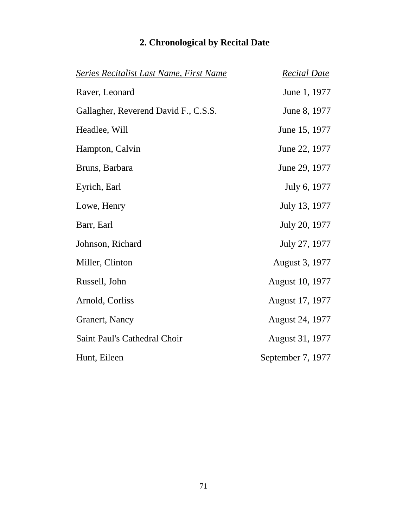| Series Recitalist Last Name, First Name | <b>Recital Date</b>    |
|-----------------------------------------|------------------------|
| Raver, Leonard                          | June 1, 1977           |
| Gallagher, Reverend David F., C.S.S.    | June 8, 1977           |
| Headlee, Will                           | June 15, 1977          |
| Hampton, Calvin                         | June 22, 1977          |
| Bruns, Barbara                          | June 29, 1977          |
| Eyrich, Earl                            | July 6, 1977           |
| Lowe, Henry                             | July 13, 1977          |
| Barr, Earl                              | July 20, 1977          |
| Johnson, Richard                        | July 27, 1977          |
| Miller, Clinton                         | August 3, 1977         |
| Russell, John                           | <b>August 10, 1977</b> |
| Arnold, Corliss                         | August 17, 1977        |
| Granert, Nancy                          | August 24, 1977        |
| Saint Paul's Cathedral Choir            | August 31, 1977        |
| Hunt, Eileen                            | September 7, 1977      |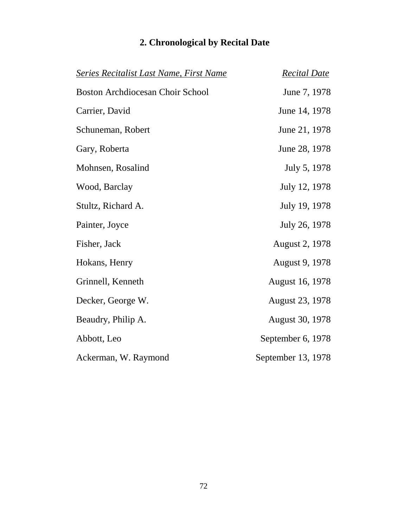| Series Recitalist Last Name, First Name | <b>Recital Date</b>   |
|-----------------------------------------|-----------------------|
| <b>Boston Archdiocesan Choir School</b> | June 7, 1978          |
| Carrier, David                          | June 14, 1978         |
| Schuneman, Robert                       | June 21, 1978         |
| Gary, Roberta                           | June 28, 1978         |
| Mohnsen, Rosalind                       | July 5, 1978          |
| Wood, Barclay                           | July 12, 1978         |
| Stultz, Richard A.                      | July 19, 1978         |
| Painter, Joyce                          | July 26, 1978         |
| Fisher, Jack                            | <b>August 2, 1978</b> |
| Hokans, Henry                           | August 9, 1978        |
| Grinnell, Kenneth                       | August 16, 1978       |
| Decker, George W.                       | August 23, 1978       |
| Beaudry, Philip A.                      | August 30, 1978       |
| Abbott, Leo                             | September 6, 1978     |
| Ackerman, W. Raymond                    | September 13, 1978    |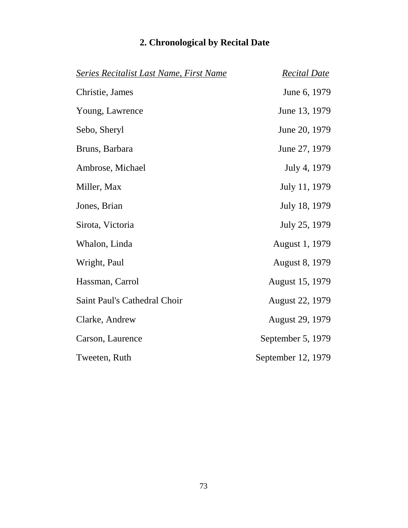| <b>Series Recitalist Last Name, First Name</b> | <b>Recital Date</b>    |
|------------------------------------------------|------------------------|
| Christie, James                                | June 6, 1979           |
| Young, Lawrence                                | June 13, 1979          |
| Sebo, Sheryl                                   | June 20, 1979          |
| Bruns, Barbara                                 | June 27, 1979          |
| Ambrose, Michael                               | July 4, 1979           |
| Miller, Max                                    | July 11, 1979          |
| Jones, Brian                                   | July 18, 1979          |
| Sirota, Victoria                               | July 25, 1979          |
| Whalon, Linda                                  | August 1, 1979         |
| Wright, Paul                                   | <b>August 8, 1979</b>  |
| Hassman, Carrol                                | August 15, 1979        |
| Saint Paul's Cathedral Choir                   | <b>August 22, 1979</b> |
| Clarke, Andrew                                 | <b>August 29, 1979</b> |
| Carson, Laurence                               | September 5, 1979      |
| Tweeten, Ruth                                  | September 12, 1979     |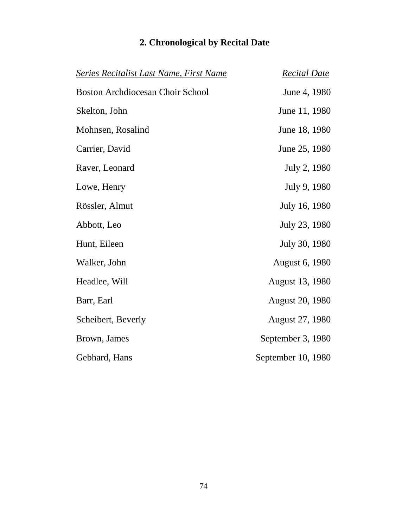| <b>Series Recitalist Last Name, First Name</b> | <b>Recital Date</b>    |
|------------------------------------------------|------------------------|
| <b>Boston Archdiocesan Choir School</b>        | June 4, 1980           |
| Skelton, John                                  | June 11, 1980          |
| Mohnsen, Rosalind                              | June 18, 1980          |
| Carrier, David                                 | June 25, 1980          |
| Raver, Leonard                                 | July 2, 1980           |
| Lowe, Henry                                    | July 9, 1980           |
| Rössler, Almut                                 | July 16, 1980          |
| Abbott, Leo                                    | July 23, 1980          |
| Hunt, Eileen                                   | July 30, 1980          |
| Walker, John                                   | August 6, 1980         |
| Headlee, Will                                  | August 13, 1980        |
| Barr, Earl                                     | <b>August 20, 1980</b> |
| Scheibert, Beverly                             | <b>August 27, 1980</b> |
| Brown, James                                   | September 3, 1980      |
| Gebhard, Hans                                  | September 10, 1980     |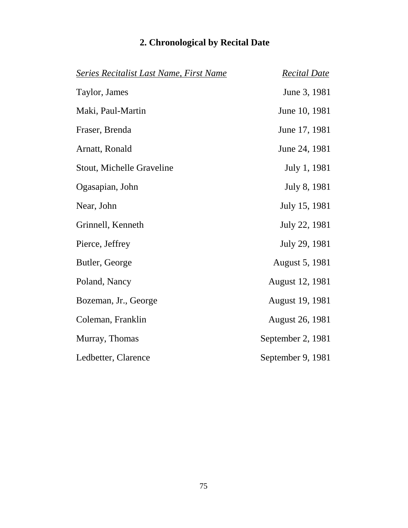|  | 2. Chronological by Recital Date |  |  |  |  |
|--|----------------------------------|--|--|--|--|
|--|----------------------------------|--|--|--|--|

| Series Recitalist Last Name, First Name | <b>Recital Date</b>    |
|-----------------------------------------|------------------------|
| Taylor, James                           | June 3, 1981           |
| Maki, Paul-Martin                       | June 10, 1981          |
| Fraser, Brenda                          | June 17, 1981          |
| Arnatt, Ronald                          | June 24, 1981          |
| Stout, Michelle Graveline               | July 1, 1981           |
| Ogasapian, John                         | July 8, 1981           |
| Near, John                              | July 15, 1981          |
| Grinnell, Kenneth                       | July 22, 1981          |
| Pierce, Jeffrey                         | July 29, 1981          |
| Butler, George                          | <b>August 5, 1981</b>  |
| Poland, Nancy                           | August 12, 1981        |
| Bozeman, Jr., George                    | August 19, 1981        |
| Coleman, Franklin                       | <b>August 26, 1981</b> |
| Murray, Thomas                          | September 2, 1981      |
| Ledbetter, Clarence                     | September 9, 1981      |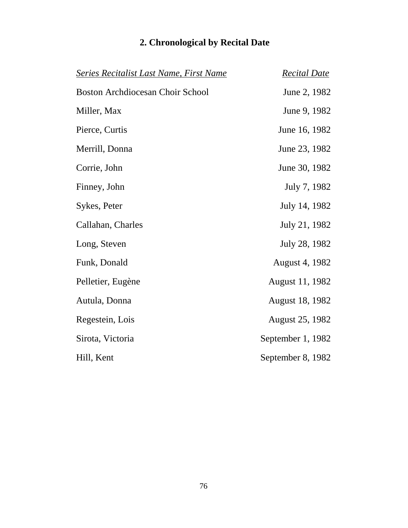| <b>Series Recitalist Last Name, First Name</b> | <b>Recital Date</b> |
|------------------------------------------------|---------------------|
| <b>Boston Archdiocesan Choir School</b>        | June 2, 1982        |
| Miller, Max                                    | June 9, 1982        |
| Pierce, Curtis                                 | June 16, 1982       |
| Merrill, Donna                                 | June 23, 1982       |
| Corrie, John                                   | June 30, 1982       |
| Finney, John                                   | July 7, 1982        |
| Sykes, Peter                                   | July 14, 1982       |
| Callahan, Charles                              | July 21, 1982       |
| Long, Steven                                   | July 28, 1982       |
| Funk, Donald                                   | August 4, 1982      |
| Pelletier, Eugène                              | August 11, 1982     |
| Autula, Donna                                  | August 18, 1982     |
| Regestein, Lois                                | August 25, 1982     |
| Sirota, Victoria                               | September 1, 1982   |
| Hill, Kent                                     | September 8, 1982   |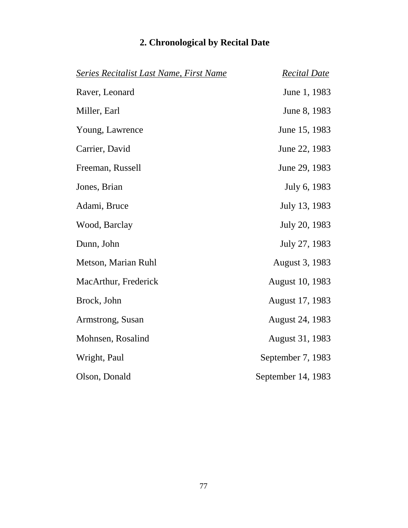| <b>Series Recitalist Last Name, First Name</b> | <b>Recital Date</b>    |
|------------------------------------------------|------------------------|
| Raver, Leonard                                 | June 1, 1983           |
| Miller, Earl                                   | June 8, 1983           |
| Young, Lawrence                                | June 15, 1983          |
| Carrier, David                                 | June 22, 1983          |
| Freeman, Russell                               | June 29, 1983          |
| Jones, Brian                                   | July 6, 1983           |
| Adami, Bruce                                   | July 13, 1983          |
| Wood, Barclay                                  | July 20, 1983          |
| Dunn, John                                     | July 27, 1983          |
| Metson, Marian Ruhl                            | August 3, 1983         |
| MacArthur, Frederick                           | <b>August 10, 1983</b> |
| Brock, John                                    | August 17, 1983        |
| Armstrong, Susan                               | August 24, 1983        |
| Mohnsen, Rosalind                              | August 31, 1983        |
| Wright, Paul                                   | September 7, 1983      |
| Olson, Donald                                  | September 14, 1983     |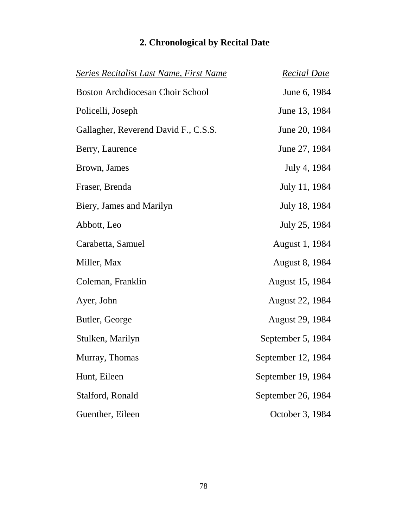| <b>Series Recitalist Last Name, First Name</b> | <b>Recital Date</b>    |
|------------------------------------------------|------------------------|
| <b>Boston Archdiocesan Choir School</b>        | June 6, 1984           |
| Policelli, Joseph                              | June 13, 1984          |
| Gallagher, Reverend David F., C.S.S.           | June 20, 1984          |
| Berry, Laurence                                | June 27, 1984          |
| Brown, James                                   | July 4, 1984           |
| Fraser, Brenda                                 | July 11, 1984          |
| Biery, James and Marilyn                       | July 18, 1984          |
| Abbott, Leo                                    | July 25, 1984          |
| Carabetta, Samuel                              | August 1, 1984         |
| Miller, Max                                    | <b>August 8, 1984</b>  |
| Coleman, Franklin                              | <b>August 15, 1984</b> |
| Ayer, John                                     | August 22, 1984        |
| Butler, George                                 | <b>August 29, 1984</b> |
| Stulken, Marilyn                               | September 5, 1984      |
| Murray, Thomas                                 | September 12, 1984     |
| Hunt, Eileen                                   | September 19, 1984     |
| Stalford, Ronald                               | September 26, 1984     |
| Guenther, Eileen                               | October 3, 1984        |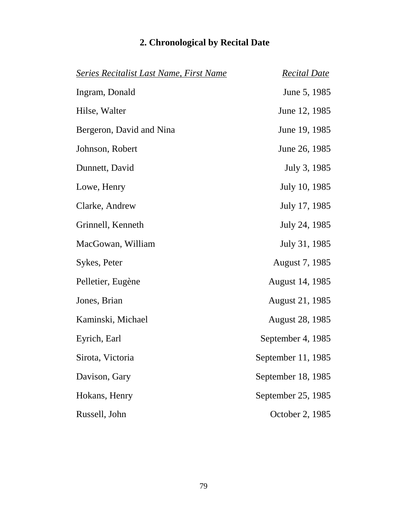| <b>Series Recitalist Last Name, First Name</b> | <b>Recital Date</b>    |
|------------------------------------------------|------------------------|
| Ingram, Donald                                 | June 5, 1985           |
| Hilse, Walter                                  | June 12, 1985          |
| Bergeron, David and Nina                       | June 19, 1985          |
| Johnson, Robert                                | June 26, 1985          |
| Dunnett, David                                 | July 3, 1985           |
| Lowe, Henry                                    | July 10, 1985          |
| Clarke, Andrew                                 | July 17, 1985          |
| Grinnell, Kenneth                              | July 24, 1985          |
| MacGowan, William                              | July 31, 1985          |
| Sykes, Peter                                   | August 7, 1985         |
| Pelletier, Eugène                              | August 14, 1985        |
| Jones, Brian                                   | <b>August 21, 1985</b> |
| Kaminski, Michael                              | <b>August 28, 1985</b> |
| Eyrich, Earl                                   | September 4, 1985      |
| Sirota, Victoria                               | September 11, 1985     |
| Davison, Gary                                  | September 18, 1985     |
| Hokans, Henry                                  | September 25, 1985     |
| Russell, John                                  | October 2, 1985        |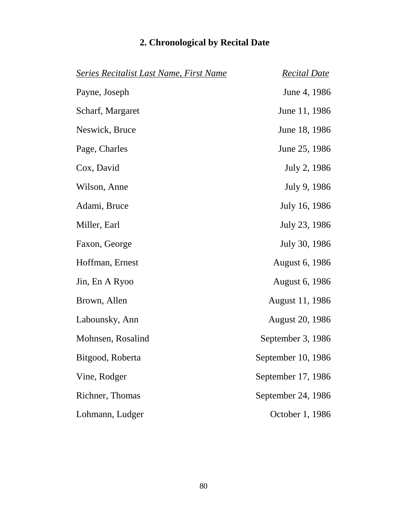| <b>Series Recitalist Last Name, First Name</b> | <b>Recital Date</b>    |
|------------------------------------------------|------------------------|
| Payne, Joseph                                  | June 4, 1986           |
| Scharf, Margaret                               | June 11, 1986          |
| Neswick, Bruce                                 | June 18, 1986          |
| Page, Charles                                  | June 25, 1986          |
| Cox, David                                     | July 2, 1986           |
| Wilson, Anne                                   | July 9, 1986           |
| Adami, Bruce                                   | July 16, 1986          |
| Miller, Earl                                   | July 23, 1986          |
| Faxon, George                                  | July 30, 1986          |
| Hoffman, Ernest                                | <b>August 6, 1986</b>  |
| Jin, En A Ryoo                                 | <b>August 6, 1986</b>  |
| Brown, Allen                                   | August 11, 1986        |
| Labounsky, Ann                                 | <b>August 20, 1986</b> |
| Mohnsen, Rosalind                              | September 3, 1986      |
| Bitgood, Roberta                               | September 10, 1986     |
| Vine, Rodger                                   | September 17, 1986     |
| Richner, Thomas                                | September 24, 1986     |
| Lohmann, Ludger                                | October 1, 1986        |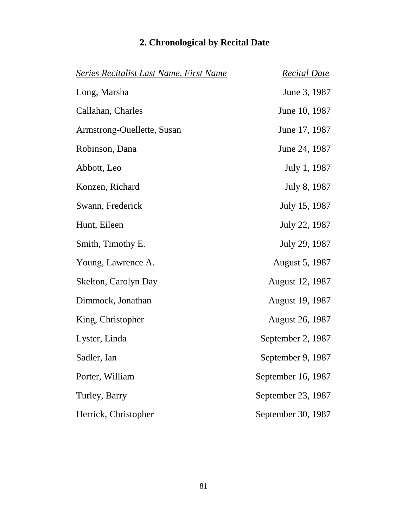| <b>Series Recitalist Last Name, First Name</b> | <b>Recital Date</b>    |
|------------------------------------------------|------------------------|
| Long, Marsha                                   | June 3, 1987           |
| Callahan, Charles                              | June 10, 1987          |
| Armstrong-Ouellette, Susan                     | June 17, 1987          |
| Robinson, Dana                                 | June 24, 1987          |
| Abbott, Leo                                    | July 1, 1987           |
| Konzen, Richard                                | July 8, 1987           |
| Swann, Frederick                               | July 15, 1987          |
| Hunt, Eileen                                   | July 22, 1987          |
| Smith, Timothy E.                              | July 29, 1987          |
| Young, Lawrence A.                             | August 5, 1987         |
| Skelton, Carolyn Day                           | August 12, 1987        |
| Dimmock, Jonathan                              | August 19, 1987        |
| King, Christopher                              | <b>August 26, 1987</b> |
| Lyster, Linda                                  | September 2, 1987      |
| Sadler, Ian                                    | September 9, 1987      |
| Porter, William                                | September 16, 1987     |
| Turley, Barry                                  | September 23, 1987     |
| Herrick, Christopher                           | September 30, 1987     |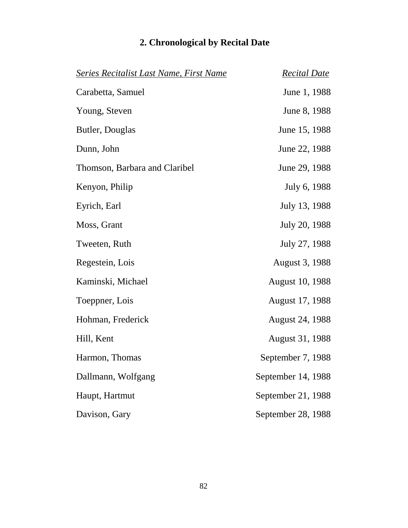| <b>Series Recitalist Last Name, First Name</b> | <b>Recital Date</b>    |
|------------------------------------------------|------------------------|
| Carabetta, Samuel                              | June 1, 1988           |
| Young, Steven                                  | June 8, 1988           |
| Butler, Douglas                                | June 15, 1988          |
| Dunn, John                                     | June 22, 1988          |
| Thomson, Barbara and Claribel                  | June 29, 1988          |
| Kenyon, Philip                                 | July 6, 1988           |
| Eyrich, Earl                                   | July 13, 1988          |
| Moss, Grant                                    | July 20, 1988          |
| Tweeten, Ruth                                  | July 27, 1988          |
| Regestein, Lois                                | August 3, 1988         |
| Kaminski, Michael                              | <b>August 10, 1988</b> |
| Toeppner, Lois                                 | <b>August 17, 1988</b> |
| Hohman, Frederick                              | <b>August 24, 1988</b> |
| Hill, Kent                                     | August 31, 1988        |
| Harmon, Thomas                                 | September 7, 1988      |
| Dallmann, Wolfgang                             | September 14, 1988     |
| Haupt, Hartmut                                 | September 21, 1988     |
| Davison, Gary                                  | September 28, 1988     |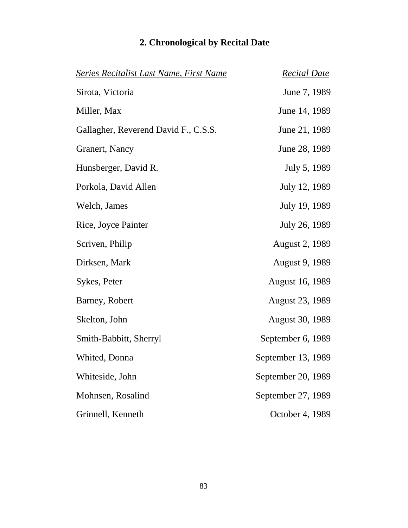| <b>Series Recitalist Last Name, First Name</b> | <b>Recital Date</b>    |
|------------------------------------------------|------------------------|
| Sirota, Victoria                               | June 7, 1989           |
| Miller, Max                                    | June 14, 1989          |
| Gallagher, Reverend David F., C.S.S.           | June 21, 1989          |
| Granert, Nancy                                 | June 28, 1989          |
| Hunsberger, David R.                           | July 5, 1989           |
| Porkola, David Allen                           | July 12, 1989          |
| Welch, James                                   | July 19, 1989          |
| Rice, Joyce Painter                            | July 26, 1989          |
| Scriven, Philip                                | <b>August 2, 1989</b>  |
| Dirksen, Mark                                  | <b>August 9, 1989</b>  |
| Sykes, Peter                                   | <b>August 16, 1989</b> |
| Barney, Robert                                 | <b>August 23, 1989</b> |
| Skelton, John                                  | <b>August 30, 1989</b> |
| Smith-Babbitt, Sherryl                         | September 6, 1989      |
| Whited, Donna                                  | September 13, 1989     |
| Whiteside, John                                | September 20, 1989     |
| Mohnsen, Rosalind                              | September 27, 1989     |
| Grinnell, Kenneth                              | October 4, 1989        |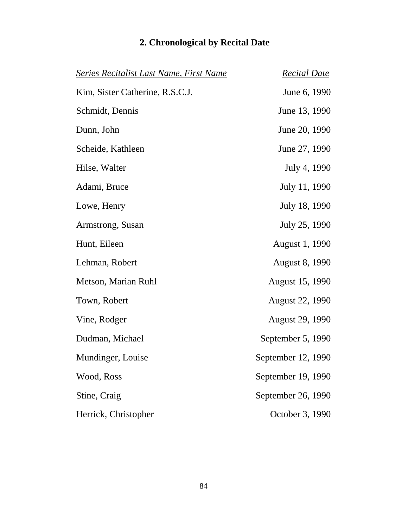| <b>Series Recitalist Last Name, First Name</b> | <b>Recital Date</b>    |
|------------------------------------------------|------------------------|
| Kim, Sister Catherine, R.S.C.J.                | June 6, 1990           |
| Schmidt, Dennis                                | June 13, 1990          |
| Dunn, John                                     | June 20, 1990          |
| Scheide, Kathleen                              | June 27, 1990          |
| Hilse, Walter                                  | July 4, 1990           |
| Adami, Bruce                                   | July 11, 1990          |
| Lowe, Henry                                    | July 18, 1990          |
| Armstrong, Susan                               | July 25, 1990          |
| Hunt, Eileen                                   | August 1, 1990         |
| Lehman, Robert                                 | <b>August 8, 1990</b>  |
| Metson, Marian Ruhl                            | <b>August 15, 1990</b> |
| Town, Robert                                   | <b>August 22, 1990</b> |
| Vine, Rodger                                   | <b>August 29, 1990</b> |
| Dudman, Michael                                | September 5, 1990      |
| Mundinger, Louise                              | September 12, 1990     |
| Wood, Ross                                     | September 19, 1990     |
| Stine, Craig                                   | September 26, 1990     |
| Herrick, Christopher                           | October 3, 1990        |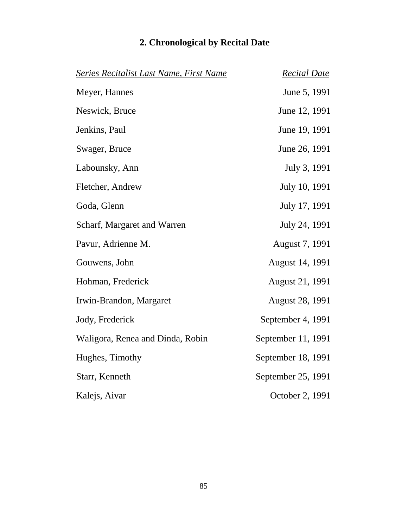| Series Recitalist Last Name, First Name | <b>Recital Date</b>    |
|-----------------------------------------|------------------------|
| Meyer, Hannes                           | June 5, 1991           |
| Neswick, Bruce                          | June 12, 1991          |
| Jenkins, Paul                           | June 19, 1991          |
| Swager, Bruce                           | June 26, 1991          |
| Labounsky, Ann                          | July 3, 1991           |
| Fletcher, Andrew                        | July 10, 1991          |
| Goda, Glenn                             | July 17, 1991          |
| Scharf, Margaret and Warren             | July 24, 1991          |
| Pavur, Adrienne M.                      | August 7, 1991         |
| Gouwens, John                           | August 14, 1991        |
| Hohman, Frederick                       | August 21, 1991        |
| Irwin-Brandon, Margaret                 | <b>August 28, 1991</b> |
| Jody, Frederick                         | September 4, 1991      |
| Waligora, Renea and Dinda, Robin        | September 11, 1991     |
| Hughes, Timothy                         | September 18, 1991     |
| Starr, Kenneth                          | September 25, 1991     |
| Kalejs, Aivar                           | October 2, 1991        |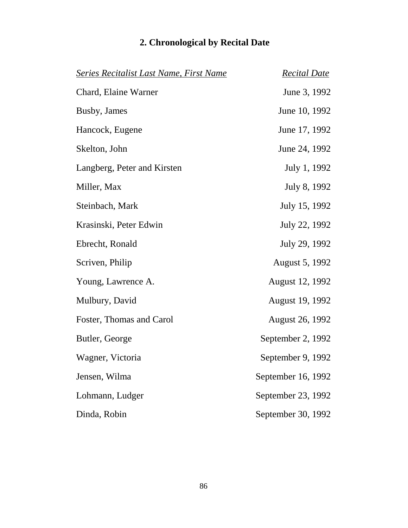| <b>Series Recitalist Last Name, First Name</b> | <b>Recital Date</b>    |
|------------------------------------------------|------------------------|
| Chard, Elaine Warner                           | June 3, 1992           |
| Busby, James                                   | June 10, 1992          |
| Hancock, Eugene                                | June 17, 1992          |
| Skelton, John                                  | June 24, 1992          |
| Langberg, Peter and Kirsten                    | July 1, 1992           |
| Miller, Max                                    | July 8, 1992           |
| Steinbach, Mark                                | July 15, 1992          |
| Krasinski, Peter Edwin                         | July 22, 1992          |
| Ebrecht, Ronald                                | July 29, 1992          |
| Scriven, Philip                                | August 5, 1992         |
| Young, Lawrence A.                             | August 12, 1992        |
| Mulbury, David                                 | <b>August 19, 1992</b> |
| Foster, Thomas and Carol                       | <b>August 26, 1992</b> |
| Butler, George                                 | September 2, 1992      |
| Wagner, Victoria                               | September 9, 1992      |
| Jensen, Wilma                                  | September 16, 1992     |
| Lohmann, Ludger                                | September 23, 1992     |
| Dinda, Robin                                   | September 30, 1992     |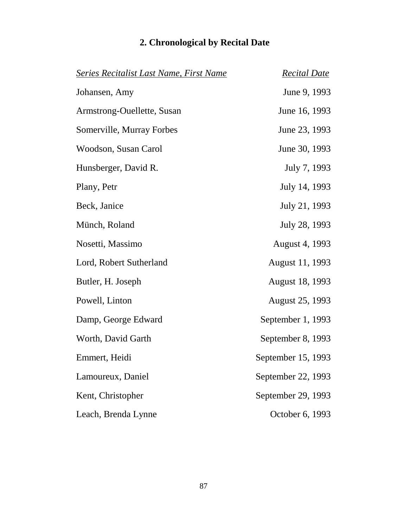| <b>Series Recitalist Last Name, First Name</b> | <b>Recital Date</b>    |
|------------------------------------------------|------------------------|
| Johansen, Amy                                  | June 9, 1993           |
| Armstrong-Ouellette, Susan                     | June 16, 1993          |
| Somerville, Murray Forbes                      | June 23, 1993          |
| Woodson, Susan Carol                           | June 30, 1993          |
| Hunsberger, David R.                           | July 7, 1993           |
| Plany, Petr                                    | July 14, 1993          |
| Beck, Janice                                   | July 21, 1993          |
| Münch, Roland                                  | July 28, 1993          |
| Nosetti, Massimo                               | August 4, 1993         |
| Lord, Robert Sutherland                        | August 11, 1993        |
| Butler, H. Joseph                              | <b>August 18, 1993</b> |
| Powell, Linton                                 | <b>August 25, 1993</b> |
| Damp, George Edward                            | September 1, 1993      |
| Worth, David Garth                             | September 8, 1993      |
| Emmert, Heidi                                  | September 15, 1993     |
| Lamoureux, Daniel                              | September 22, 1993     |
| Kent, Christopher                              | September 29, 1993     |
| Leach, Brenda Lynne                            | October 6, 1993        |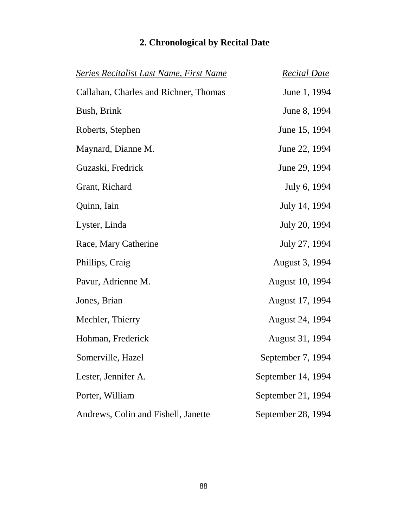| <u>Series Recitalist Last Name, First Name</u> | <b>Recital Date</b>    |
|------------------------------------------------|------------------------|
| Callahan, Charles and Richner, Thomas          | June 1, 1994           |
| Bush, Brink                                    | June 8, 1994           |
| Roberts, Stephen                               | June 15, 1994          |
| Maynard, Dianne M.                             | June 22, 1994          |
| Guzaski, Fredrick                              | June 29, 1994          |
| Grant, Richard                                 | July 6, 1994           |
| Quinn, Iain                                    | July 14, 1994          |
| Lyster, Linda                                  | July 20, 1994          |
| Race, Mary Catherine                           | July 27, 1994          |
| Phillips, Craig                                | August 3, 1994         |
| Pavur, Adrienne M.                             | <b>August 10, 1994</b> |
| Jones, Brian                                   | August 17, 1994        |
| Mechler, Thierry                               | <b>August 24, 1994</b> |
| Hohman, Frederick                              | August 31, 1994        |
| Somerville, Hazel                              | September 7, 1994      |
| Lester, Jennifer A.                            | September 14, 1994     |
| Porter, William                                | September 21, 1994     |
| Andrews, Colin and Fishell, Janette            | September 28, 1994     |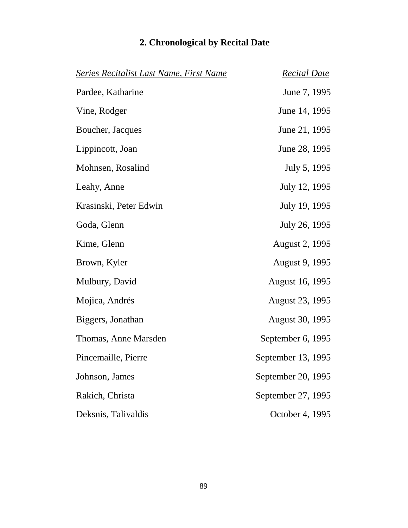| <b>Series Recitalist Last Name, First Name</b> | <b>Recital Date</b>    |
|------------------------------------------------|------------------------|
| Pardee, Katharine                              | June 7, 1995           |
| Vine, Rodger                                   | June 14, 1995          |
| Boucher, Jacques                               | June 21, 1995          |
| Lippincott, Joan                               | June 28, 1995          |
| Mohnsen, Rosalind                              | July 5, 1995           |
| Leahy, Anne                                    | July 12, 1995          |
| Krasinski, Peter Edwin                         | July 19, 1995          |
| Goda, Glenn                                    | July 26, 1995          |
| Kime, Glenn                                    | <b>August 2, 1995</b>  |
| Brown, Kyler                                   | August 9, 1995         |
| Mulbury, David                                 | <b>August 16, 1995</b> |
| Mojica, Andrés                                 | August 23, 1995        |
| Biggers, Jonathan                              | <b>August 30, 1995</b> |
| Thomas, Anne Marsden                           | September 6, 1995      |
| Pincemaille, Pierre                            | September 13, 1995     |
| Johnson, James                                 | September 20, 1995     |
| Rakich, Christa                                | September 27, 1995     |
| Deksnis, Talivaldis                            | October 4, 1995        |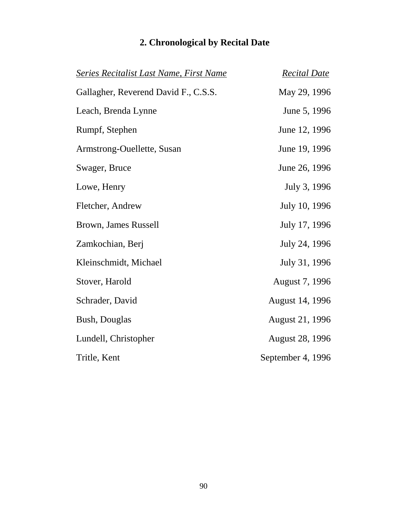| <b>Series Recitalist Last Name, First Name</b> | <b>Recital Date</b>    |
|------------------------------------------------|------------------------|
| Gallagher, Reverend David F., C.S.S.           | May 29, 1996           |
| Leach, Brenda Lynne                            | June 5, 1996           |
| Rumpf, Stephen                                 | June 12, 1996          |
| Armstrong-Ouellette, Susan                     | June 19, 1996          |
| Swager, Bruce                                  | June 26, 1996          |
| Lowe, Henry                                    | July 3, 1996           |
| Fletcher, Andrew                               | July 10, 1996          |
| Brown, James Russell                           | July 17, 1996          |
| Zamkochian, Berj                               | July 24, 1996          |
| Kleinschmidt, Michael                          | July 31, 1996          |
| Stover, Harold                                 | August 7, 1996         |
| Schrader, David                                | August 14, 1996        |
| <b>Bush, Douglas</b>                           | <b>August 21, 1996</b> |
| Lundell, Christopher                           | <b>August 28, 1996</b> |
| Tritle, Kent                                   | September 4, 1996      |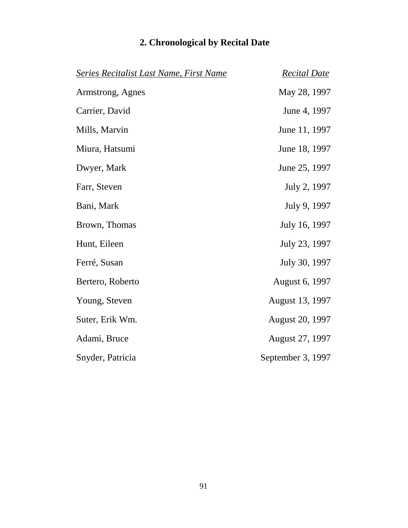| <b>Series Recitalist Last Name, First Name</b> | <b>Recital Date</b>    |
|------------------------------------------------|------------------------|
| Armstrong, Agnes                               | May 28, 1997           |
| Carrier, David                                 | June 4, 1997           |
| Mills, Marvin                                  | June 11, 1997          |
| Miura, Hatsumi                                 | June 18, 1997          |
| Dwyer, Mark                                    | June 25, 1997          |
| Farr, Steven                                   | July 2, 1997           |
| Bani, Mark                                     | July 9, 1997           |
| Brown, Thomas                                  | July 16, 1997          |
| Hunt, Eileen                                   | July 23, 1997          |
| Ferré, Susan                                   | July 30, 1997          |
| Bertero, Roberto                               | August 6, 1997         |
| Young, Steven                                  | August 13, 1997        |
| Suter, Erik Wm.                                | <b>August 20, 1997</b> |
| Adami, Bruce                                   | August 27, 1997        |
| Snyder, Patricia                               | September 3, 1997      |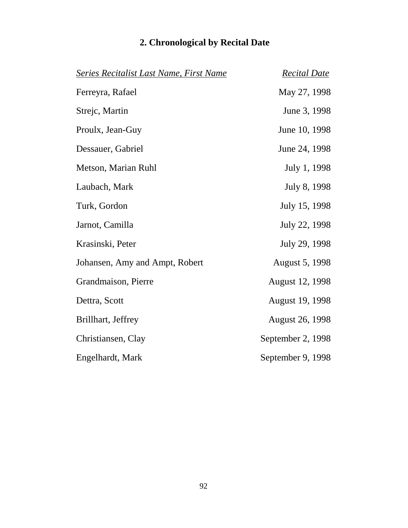| <b>Series Recitalist Last Name, First Name</b> | <b>Recital Date</b>   |
|------------------------------------------------|-----------------------|
| Ferreyra, Rafael                               | May 27, 1998          |
| Strejc, Martin                                 | June 3, 1998          |
| Proulx, Jean-Guy                               | June 10, 1998         |
| Dessauer, Gabriel                              | June 24, 1998         |
| Metson, Marian Ruhl                            | July 1, 1998          |
| Laubach, Mark                                  | July 8, 1998          |
| Turk, Gordon                                   | July 15, 1998         |
| Jarnot, Camilla                                | July 22, 1998         |
| Krasinski, Peter                               | July 29, 1998         |
| Johansen, Amy and Ampt, Robert                 | <b>August 5, 1998</b> |
| Grandmaison, Pierre                            | August 12, 1998       |
| Dettra, Scott                                  | August 19, 1998       |
| Brillhart, Jeffrey                             | August 26, 1998       |
| Christiansen, Clay                             | September 2, 1998     |
| Engelhardt, Mark                               | September 9, 1998     |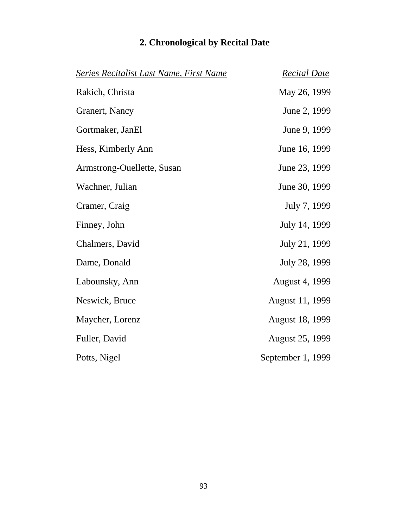| <b>Series Recitalist Last Name, First Name</b> | <b>Recital Date</b>    |
|------------------------------------------------|------------------------|
| Rakich, Christa                                | May 26, 1999           |
| Granert, Nancy                                 | June 2, 1999           |
| Gortmaker, JanEl                               | June 9, 1999           |
| Hess, Kimberly Ann                             | June 16, 1999          |
| Armstrong-Ouellette, Susan                     | June 23, 1999          |
| Wachner, Julian                                | June 30, 1999          |
| Cramer, Craig                                  | July 7, 1999           |
| Finney, John                                   | July 14, 1999          |
| Chalmers, David                                | July 21, 1999          |
| Dame, Donald                                   | July 28, 1999          |
| Labounsky, Ann                                 | <b>August 4, 1999</b>  |
| Neswick, Bruce                                 | August 11, 1999        |
| Maycher, Lorenz                                | <b>August 18, 1999</b> |
| Fuller, David                                  | <b>August 25, 1999</b> |
| Potts, Nigel                                   | September 1, 1999      |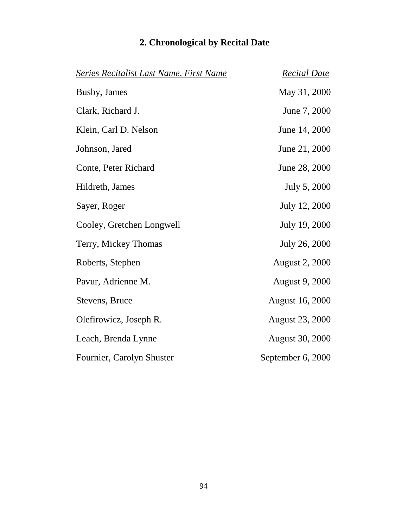| <b>Series Recitalist Last Name, First Name</b> | <b>Recital Date</b>    |
|------------------------------------------------|------------------------|
| Busby, James                                   | May 31, 2000           |
| Clark, Richard J.                              | June 7, 2000           |
| Klein, Carl D. Nelson                          | June 14, 2000          |
| Johnson, Jared                                 | June 21, 2000          |
| Conte, Peter Richard                           | June 28, 2000          |
| Hildreth, James                                | July 5, 2000           |
| Sayer, Roger                                   | July 12, 2000          |
| Cooley, Gretchen Longwell                      | July 19, 2000          |
| Terry, Mickey Thomas                           | July 26, 2000          |
| Roberts, Stephen                               | <b>August 2, 2000</b>  |
| Pavur, Adrienne M.                             | <b>August 9, 2000</b>  |
| Stevens, Bruce                                 | <b>August 16, 2000</b> |
| Olefirowicz, Joseph R.                         | <b>August 23, 2000</b> |
| Leach, Brenda Lynne                            | <b>August 30, 2000</b> |
| Fournier, Carolyn Shuster                      | September 6, 2000      |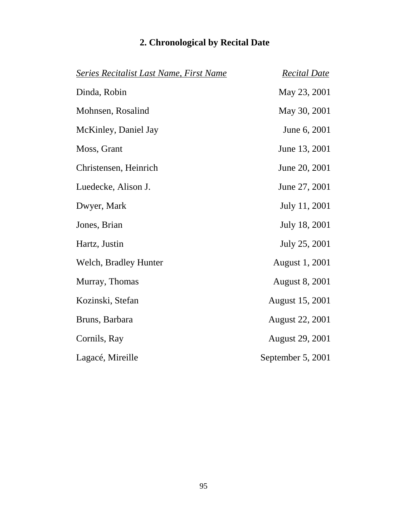| 2. Chronological by Recital Date |  |  |  |
|----------------------------------|--|--|--|
|----------------------------------|--|--|--|

| Series Recitalist Last Name, First Name | <b>Recital Date</b>    |
|-----------------------------------------|------------------------|
| Dinda, Robin                            | May 23, 2001           |
| Mohnsen, Rosalind                       | May 30, 2001           |
| McKinley, Daniel Jay                    | June 6, 2001           |
| Moss, Grant                             | June 13, 2001          |
| Christensen, Heinrich                   | June 20, 2001          |
| Luedecke, Alison J.                     | June 27, 2001          |
| Dwyer, Mark                             | July 11, 2001          |
| Jones, Brian                            | July 18, 2001          |
| Hartz, Justin                           | July 25, 2001          |
| Welch, Bradley Hunter                   | August 1, 2001         |
| Murray, Thomas                          | <b>August 8, 2001</b>  |
| Kozinski, Stefan                        | August 15, 2001        |
| Bruns, Barbara                          | <b>August 22, 2001</b> |
| Cornils, Ray                            | <b>August 29, 2001</b> |
| Lagacé, Mireille                        | September 5, 2001      |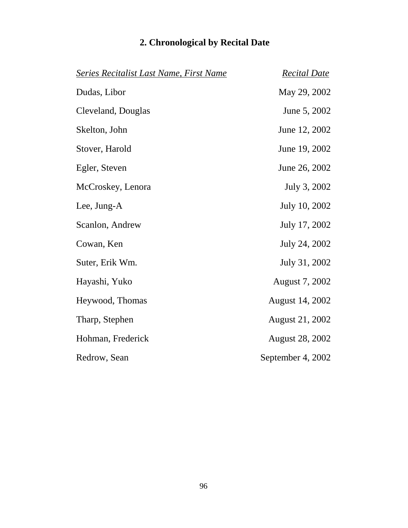| <b>Series Recitalist Last Name, First Name</b> | <b>Recital Date</b>    |
|------------------------------------------------|------------------------|
| Dudas, Libor                                   | May 29, 2002           |
| Cleveland, Douglas                             | June 5, 2002           |
| Skelton, John                                  | June 12, 2002          |
| Stover, Harold                                 | June 19, 2002          |
| Egler, Steven                                  | June 26, 2002          |
| McCroskey, Lenora                              | July 3, 2002           |
| Lee, Jung-A                                    | July 10, 2002          |
| Scanlon, Andrew                                | July 17, 2002          |
| Cowan, Ken                                     | July 24, 2002          |
| Suter, Erik Wm.                                | July 31, 2002          |
| Hayashi, Yuko                                  | August 7, 2002         |
| Heywood, Thomas                                | August 14, 2002        |
| Tharp, Stephen                                 | <b>August 21, 2002</b> |
| Hohman, Frederick                              | <b>August 28, 2002</b> |
| Redrow, Sean                                   | September 4, 2002      |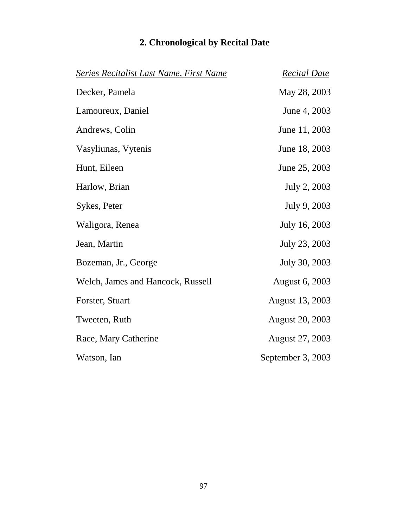| <b>Series Recitalist Last Name, First Name</b> | <b>Recital Date</b>    |
|------------------------------------------------|------------------------|
| Decker, Pamela                                 | May 28, 2003           |
| Lamoureux, Daniel                              | June 4, 2003           |
| Andrews, Colin                                 | June 11, 2003          |
| Vasyliunas, Vytenis                            | June 18, 2003          |
| Hunt, Eileen                                   | June 25, 2003          |
| Harlow, Brian                                  | July 2, 2003           |
| Sykes, Peter                                   | July 9, 2003           |
| Waligora, Renea                                | July 16, 2003          |
| Jean, Martin                                   | July 23, 2003          |
| Bozeman, Jr., George                           | July 30, 2003          |
| Welch, James and Hancock, Russell              | August 6, 2003         |
| Forster, Stuart                                | August 13, 2003        |
| Tweeten, Ruth                                  | <b>August 20, 2003</b> |
| Race, Mary Catherine                           | <b>August 27, 2003</b> |
| Watson, Ian                                    | September 3, 2003      |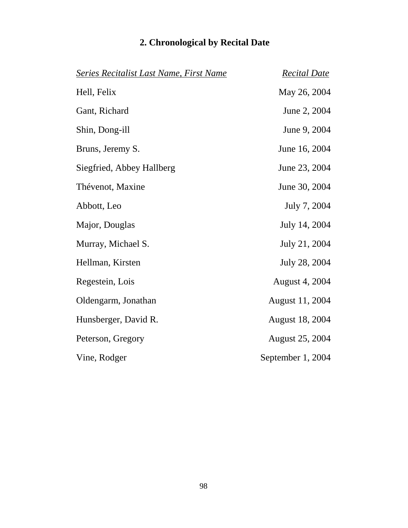|  | 2. Chronological by Recital Date |  |  |  |  |
|--|----------------------------------|--|--|--|--|
|--|----------------------------------|--|--|--|--|

| <b>Series Recitalist Last Name, First Name</b> | <b>Recital Date</b>    |
|------------------------------------------------|------------------------|
| Hell, Felix                                    | May 26, 2004           |
| Gant, Richard                                  | June 2, 2004           |
| Shin, Dong-ill                                 | June 9, 2004           |
| Bruns, Jeremy S.                               | June 16, 2004          |
| Siegfried, Abbey Hallberg                      | June 23, 2004          |
| Thévenot, Maxine                               | June 30, 2004          |
| Abbott, Leo                                    | July 7, 2004           |
| Major, Douglas                                 | July 14, 2004          |
| Murray, Michael S.                             | July 21, 2004          |
| Hellman, Kirsten                               | July 28, 2004          |
| Regestein, Lois                                | <b>August 4, 2004</b>  |
| Oldengarm, Jonathan                            | August 11, 2004        |
| Hunsberger, David R.                           | <b>August 18, 2004</b> |
| Peterson, Gregory                              | <b>August 25, 2004</b> |
| Vine, Rodger                                   | September 1, 2004      |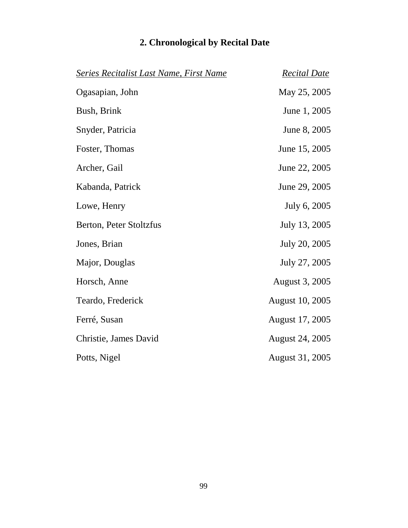| <b>Series Recitalist Last Name, First Name</b> | <b>Recital Date</b>    |
|------------------------------------------------|------------------------|
| Ogasapian, John                                | May 25, 2005           |
| Bush, Brink                                    | June 1, 2005           |
| Snyder, Patricia                               | June 8, 2005           |
| Foster, Thomas                                 | June 15, 2005          |
| Archer, Gail                                   | June 22, 2005          |
| Kabanda, Patrick                               | June 29, 2005          |
| Lowe, Henry                                    | July 6, 2005           |
| Berton, Peter Stoltzfus                        | July 13, 2005          |
| Jones, Brian                                   | July 20, 2005          |
| Major, Douglas                                 | July 27, 2005          |
| Horsch, Anne                                   | August 3, 2005         |
| Teardo, Frederick                              | <b>August 10, 2005</b> |
| Ferré, Susan                                   | August 17, 2005        |
| Christie, James David                          | <b>August 24, 2005</b> |
| Potts, Nigel                                   | <b>August 31, 2005</b> |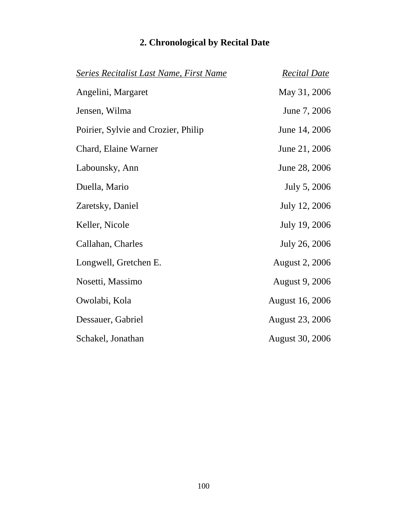| <b>Series Recitalist Last Name, First Name</b> | <b>Recital Date</b>    |
|------------------------------------------------|------------------------|
| Angelini, Margaret                             | May 31, 2006           |
| Jensen, Wilma                                  | June 7, 2006           |
| Poirier, Sylvie and Crozier, Philip            | June 14, 2006          |
| Chard, Elaine Warner                           | June 21, 2006          |
| Labounsky, Ann                                 | June 28, 2006          |
| Duella, Mario                                  | July 5, 2006           |
| Zaretsky, Daniel                               | July 12, 2006          |
| Keller, Nicole                                 | July 19, 2006          |
| Callahan, Charles                              | July 26, 2006          |
| Longwell, Gretchen E.                          | <b>August 2, 2006</b>  |
| Nosetti, Massimo                               | August 9, 2006         |
| Owolabi, Kola                                  | <b>August 16, 2006</b> |
| Dessauer, Gabriel                              | <b>August 23, 2006</b> |
| Schakel, Jonathan                              | <b>August 30, 2006</b> |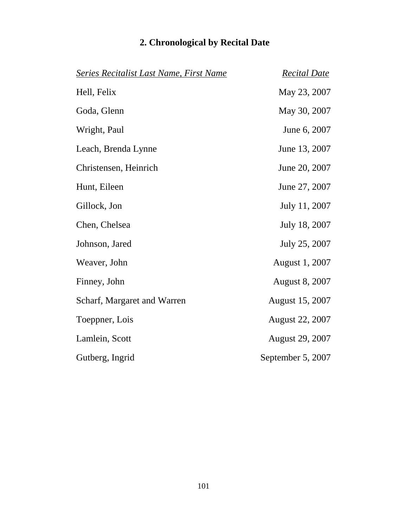|  | 2. Chronological by Recital Date |  |  |  |  |
|--|----------------------------------|--|--|--|--|
|--|----------------------------------|--|--|--|--|

| <b>Series Recitalist Last Name, First Name</b> | <b>Recital Date</b>    |
|------------------------------------------------|------------------------|
| Hell, Felix                                    | May 23, 2007           |
| Goda, Glenn                                    | May 30, 2007           |
| Wright, Paul                                   | June 6, 2007           |
| Leach, Brenda Lynne                            | June 13, 2007          |
| Christensen, Heinrich                          | June 20, 2007          |
| Hunt, Eileen                                   | June 27, 2007          |
| Gillock, Jon                                   | July 11, 2007          |
| Chen, Chelsea                                  | July 18, 2007          |
| Johnson, Jared                                 | July 25, 2007          |
| Weaver, John                                   | August 1, 2007         |
| Finney, John                                   | <b>August 8, 2007</b>  |
| Scharf, Margaret and Warren                    | <b>August 15, 2007</b> |
| Toeppner, Lois                                 | <b>August 22, 2007</b> |
| Lamlein, Scott                                 | <b>August 29, 2007</b> |
| Gutberg, Ingrid                                | September 5, 2007      |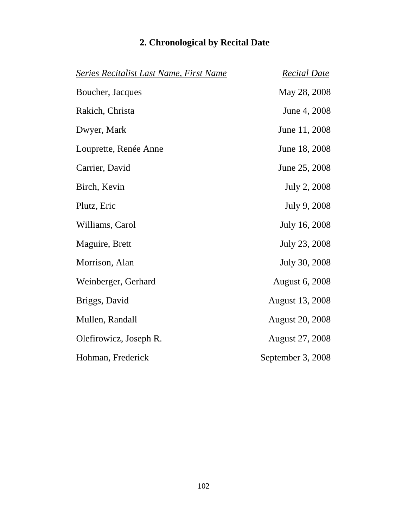|  | 2. Chronological by Recital Date |  |  |  |  |
|--|----------------------------------|--|--|--|--|
|--|----------------------------------|--|--|--|--|

| <b>Series Recitalist Last Name, First Name</b> | <b>Recital Date</b>    |
|------------------------------------------------|------------------------|
| Boucher, Jacques                               | May 28, 2008           |
| Rakich, Christa                                | June 4, 2008           |
| Dwyer, Mark                                    | June 11, 2008          |
| Louprette, Renée Anne                          | June 18, 2008          |
| Carrier, David                                 | June 25, 2008          |
| Birch, Kevin                                   | July 2, 2008           |
| Plutz, Eric                                    | July 9, 2008           |
| Williams, Carol                                | July 16, 2008          |
| Maguire, Brett                                 | July 23, 2008          |
| Morrison, Alan                                 | July 30, 2008          |
| Weinberger, Gerhard                            | <b>August 6, 2008</b>  |
| Briggs, David                                  | August 13, 2008        |
| Mullen, Randall                                | <b>August 20, 2008</b> |
| Olefirowicz, Joseph R.                         | <b>August 27, 2008</b> |
| Hohman, Frederick                              | September 3, 2008      |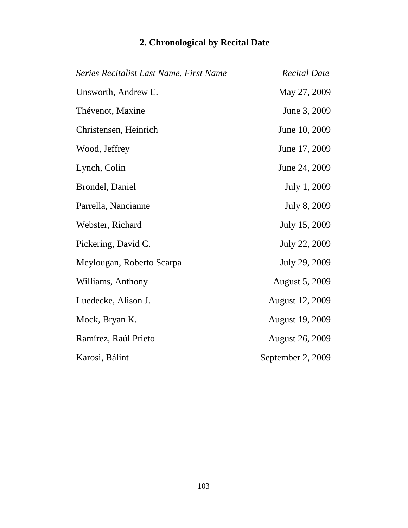|  | 2. Chronological by Recital Date |  |  |  |  |
|--|----------------------------------|--|--|--|--|
|--|----------------------------------|--|--|--|--|

| <b>Series Recitalist Last Name, First Name</b> | <b>Recital Date</b>    |
|------------------------------------------------|------------------------|
| Unsworth, Andrew E.                            | May 27, 2009           |
| Thévenot, Maxine                               | June 3, 2009           |
| Christensen, Heinrich                          | June 10, 2009          |
| Wood, Jeffrey                                  | June 17, 2009          |
| Lynch, Colin                                   | June 24, 2009          |
| Brondel, Daniel                                | July 1, 2009           |
| Parrella, Nancianne                            | July 8, 2009           |
| Webster, Richard                               | July 15, 2009          |
| Pickering, David C.                            | July 22, 2009          |
| Meylougan, Roberto Scarpa                      | July 29, 2009          |
| Williams, Anthony                              | <b>August 5, 2009</b>  |
| Luedecke, Alison J.                            | <b>August 12, 2009</b> |
| Mock, Bryan K.                                 | <b>August 19, 2009</b> |
| Ramírez, Raúl Prieto                           | <b>August 26, 2009</b> |
| Karosi, Bálint                                 | September 2, 2009      |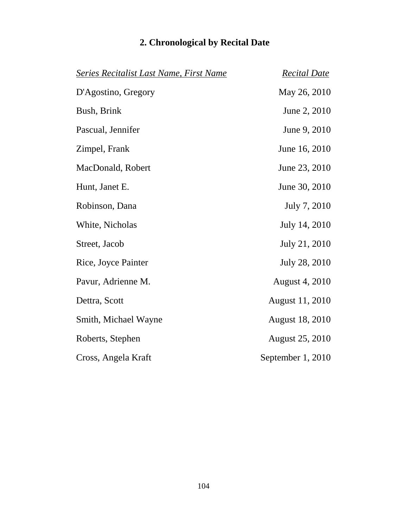| <b>Series Recitalist Last Name, First Name</b> | <b>Recital Date</b>    |
|------------------------------------------------|------------------------|
| D'Agostino, Gregory                            | May 26, 2010           |
| Bush, Brink                                    | June 2, 2010           |
| Pascual, Jennifer                              | June 9, 2010           |
| Zimpel, Frank                                  | June 16, 2010          |
| MacDonald, Robert                              | June 23, 2010          |
| Hunt, Janet E.                                 | June 30, 2010          |
| Robinson, Dana                                 | July 7, 2010           |
| White, Nicholas                                | July 14, 2010          |
| Street, Jacob                                  | July 21, 2010          |
| Rice, Joyce Painter                            | July 28, 2010          |
| Pavur, Adrienne M.                             | <b>August 4, 2010</b>  |
| Dettra, Scott                                  | <b>August 11, 2010</b> |
| Smith, Michael Wayne                           | <b>August 18, 2010</b> |
| Roberts, Stephen                               | <b>August 25, 2010</b> |
| Cross, Angela Kraft                            | September 1, 2010      |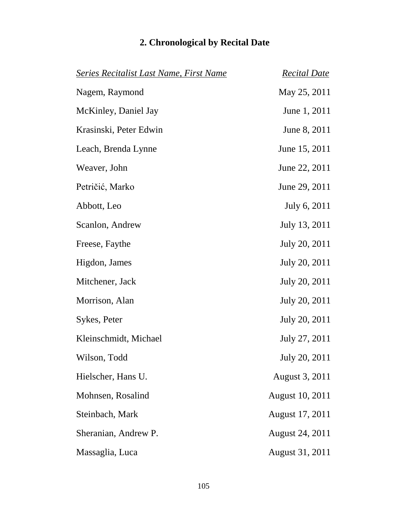| <b>Series Recitalist Last Name, First Name</b> | <b>Recital Date</b>    |
|------------------------------------------------|------------------------|
| Nagem, Raymond                                 | May 25, 2011           |
| McKinley, Daniel Jay                           | June 1, 2011           |
| Krasinski, Peter Edwin                         | June 8, 2011           |
| Leach, Brenda Lynne                            | June 15, 2011          |
| Weaver, John                                   | June 22, 2011          |
| Petričić, Marko                                | June 29, 2011          |
| Abbott, Leo                                    | July 6, 2011           |
| Scanlon, Andrew                                | July 13, 2011          |
| Freese, Faythe                                 | July 20, 2011          |
| Higdon, James                                  | July 20, 2011          |
| Mitchener, Jack                                | July 20, 2011          |
| Morrison, Alan                                 | July 20, 2011          |
| Sykes, Peter                                   | July 20, 2011          |
| Kleinschmidt, Michael                          | July 27, 2011          |
| Wilson, Todd                                   | July 20, 2011          |
| Hielscher, Hans U.                             | August 3, 2011         |
| Mohnsen, Rosalind                              | <b>August 10, 2011</b> |
| Steinbach, Mark                                | August 17, 2011        |
| Sheranian, Andrew P.                           | August 24, 2011        |
| Massaglia, Luca                                | August 31, 2011        |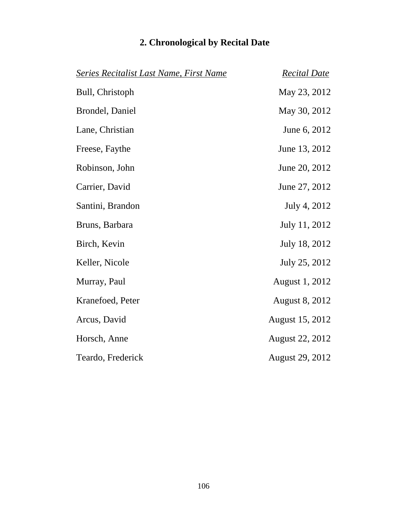| <b>Series Recitalist Last Name, First Name</b> | <b>Recital Date</b>    |
|------------------------------------------------|------------------------|
| Bull, Christoph                                | May 23, 2012           |
| Brondel, Daniel                                | May 30, 2012           |
| Lane, Christian                                | June 6, 2012           |
| Freese, Faythe                                 | June 13, 2012          |
| Robinson, John                                 | June 20, 2012          |
| Carrier, David                                 | June 27, 2012          |
| Santini, Brandon                               | July 4, 2012           |
| Bruns, Barbara                                 | July 11, 2012          |
| Birch, Kevin                                   | July 18, 2012          |
| Keller, Nicole                                 | July 25, 2012          |
| Murray, Paul                                   | August 1, 2012         |
| Kranefoed, Peter                               | <b>August 8, 2012</b>  |
| Arcus, David                                   | August 15, 2012        |
| Horsch, Anne                                   | <b>August 22, 2012</b> |
| Teardo, Frederick                              | <b>August 29, 2012</b> |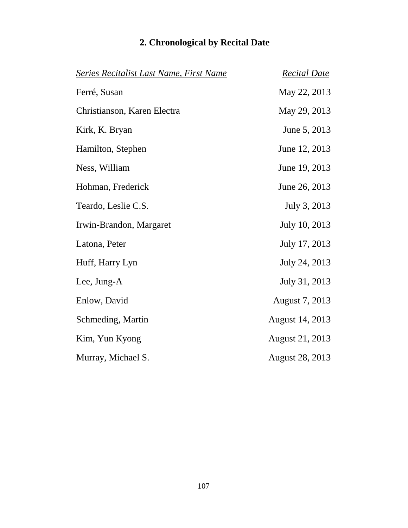| <b>Series Recitalist Last Name, First Name</b> | <b>Recital Date</b>    |
|------------------------------------------------|------------------------|
| Ferré, Susan                                   | May 22, 2013           |
| Christianson, Karen Electra                    | May 29, 2013           |
| Kirk, K. Bryan                                 | June 5, 2013           |
| Hamilton, Stephen                              | June 12, 2013          |
| Ness, William                                  | June 19, 2013          |
| Hohman, Frederick                              | June 26, 2013          |
| Teardo, Leslie C.S.                            | July 3, 2013           |
| Irwin-Brandon, Margaret                        | July 10, 2013          |
| Latona, Peter                                  | July 17, 2013          |
| Huff, Harry Lyn                                | July 24, 2013          |
| Lee, Jung-A                                    | July 31, 2013          |
| Enlow, David                                   | August 7, 2013         |
| Schmeding, Martin                              | August 14, 2013        |
| Kim, Yun Kyong                                 | August 21, 2013        |
| Murray, Michael S.                             | <b>August 28, 2013</b> |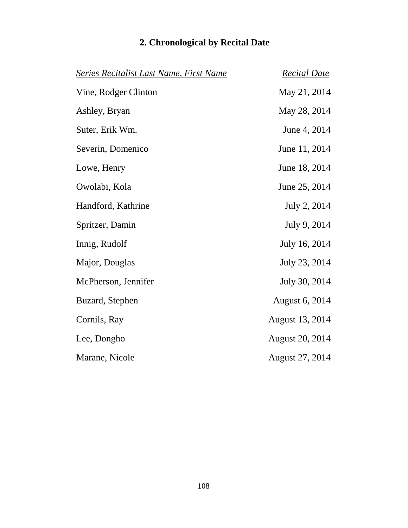|  | 2. Chronological by Recital Date |  |  |  |  |
|--|----------------------------------|--|--|--|--|
|--|----------------------------------|--|--|--|--|

| Series Recitalist Last Name, First Name | <b>Recital Date</b>    |
|-----------------------------------------|------------------------|
| Vine, Rodger Clinton                    | May 21, 2014           |
| Ashley, Bryan                           | May 28, 2014           |
| Suter, Erik Wm.                         | June 4, 2014           |
| Severin, Domenico                       | June 11, 2014          |
| Lowe, Henry                             | June 18, 2014          |
| Owolabi, Kola                           | June 25, 2014          |
| Handford, Kathrine                      | July 2, 2014           |
| Spritzer, Damin                         | July 9, 2014           |
| Innig, Rudolf                           | July 16, 2014          |
| Major, Douglas                          | July 23, 2014          |
| McPherson, Jennifer                     | July 30, 2014          |
| Buzard, Stephen                         | August 6, 2014         |
| Cornils, Ray                            | August 13, 2014        |
| Lee, Dongho                             | <b>August 20, 2014</b> |
| Marane, Nicole                          | August 27, 2014        |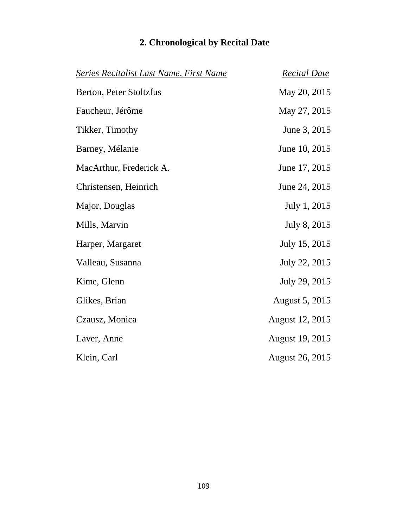| <b>Series Recitalist Last Name, First Name</b> | <b>Recital Date</b>    |
|------------------------------------------------|------------------------|
| Berton, Peter Stoltzfus                        | May 20, 2015           |
| Faucheur, Jérôme                               | May 27, 2015           |
| Tikker, Timothy                                | June 3, 2015           |
| Barney, Mélanie                                | June 10, 2015          |
| MacArthur, Frederick A.                        | June 17, 2015          |
| Christensen, Heinrich                          | June 24, 2015          |
| Major, Douglas                                 | July 1, 2015           |
| Mills, Marvin                                  | July 8, 2015           |
| Harper, Margaret                               | July 15, 2015          |
| Valleau, Susanna                               | July 22, 2015          |
| Kime, Glenn                                    | July 29, 2015          |
| Glikes, Brian                                  | August 5, 2015         |
| Czausz, Monica                                 | August 12, 2015        |
| Laver, Anne                                    | August 19, 2015        |
| Klein, Carl                                    | <b>August 26, 2015</b> |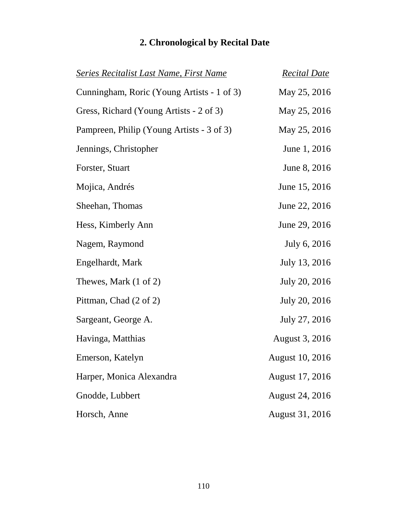| <u>Series Recitalist Last Name, First Name</u> | <b>Recital Date</b>    |
|------------------------------------------------|------------------------|
| Cunningham, Roric (Young Artists - 1 of 3)     | May 25, 2016           |
| Gress, Richard (Young Artists - 2 of 3)        | May 25, 2016           |
| Pampreen, Philip (Young Artists - 3 of 3)      | May 25, 2016           |
| Jennings, Christopher                          | June 1, 2016           |
| Forster, Stuart                                | June 8, 2016           |
| Mojica, Andrés                                 | June 15, 2016          |
| Sheehan, Thomas                                | June 22, 2016          |
| Hess, Kimberly Ann                             | June 29, 2016          |
| Nagem, Raymond                                 | July 6, 2016           |
| Engelhardt, Mark                               | July 13, 2016          |
| Thewes, Mark (1 of 2)                          | July 20, 2016          |
| Pittman, Chad (2 of 2)                         | July 20, 2016          |
| Sargeant, George A.                            | July 27, 2016          |
| Havinga, Matthias                              | August 3, 2016         |
| Emerson, Katelyn                               | <b>August 10, 2016</b> |
| Harper, Monica Alexandra                       | August 17, 2016        |
| Gnodde, Lubbert                                | <b>August 24, 2016</b> |
| Horsch, Anne                                   | August 31, 2016        |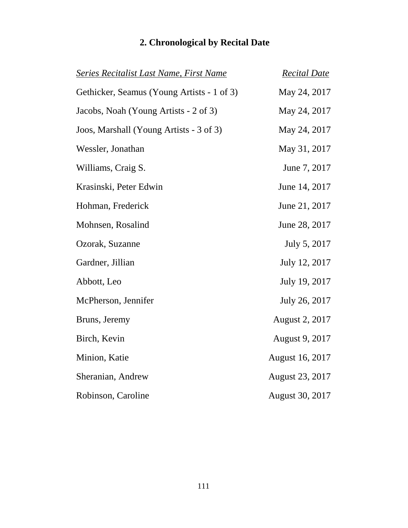| <b>Series Recitalist Last Name, First Name</b> | <b>Recital Date</b>    |
|------------------------------------------------|------------------------|
| Gethicker, Seamus (Young Artists - 1 of 3)     | May 24, 2017           |
| Jacobs, Noah (Young Artists - 2 of 3)          | May 24, 2017           |
| Joos, Marshall (Young Artists - 3 of 3)        | May 24, 2017           |
| Wessler, Jonathan                              | May 31, 2017           |
| Williams, Craig S.                             | June 7, 2017           |
| Krasinski, Peter Edwin                         | June 14, 2017          |
| Hohman, Frederick                              | June 21, 2017          |
| Mohnsen, Rosalind                              | June 28, 2017          |
| Ozorak, Suzanne                                | July 5, 2017           |
| Gardner, Jillian                               | July 12, 2017          |
| Abbott, Leo                                    | July 19, 2017          |
| McPherson, Jennifer                            | July 26, 2017          |
| Bruns, Jeremy                                  | August 2, 2017         |
| Birch, Kevin                                   | August 9, 2017         |
| Minion, Katie                                  | <b>August 16, 2017</b> |
| Sheranian, Andrew                              | August 23, 2017        |
| Robinson, Caroline                             | <b>August 30, 2017</b> |